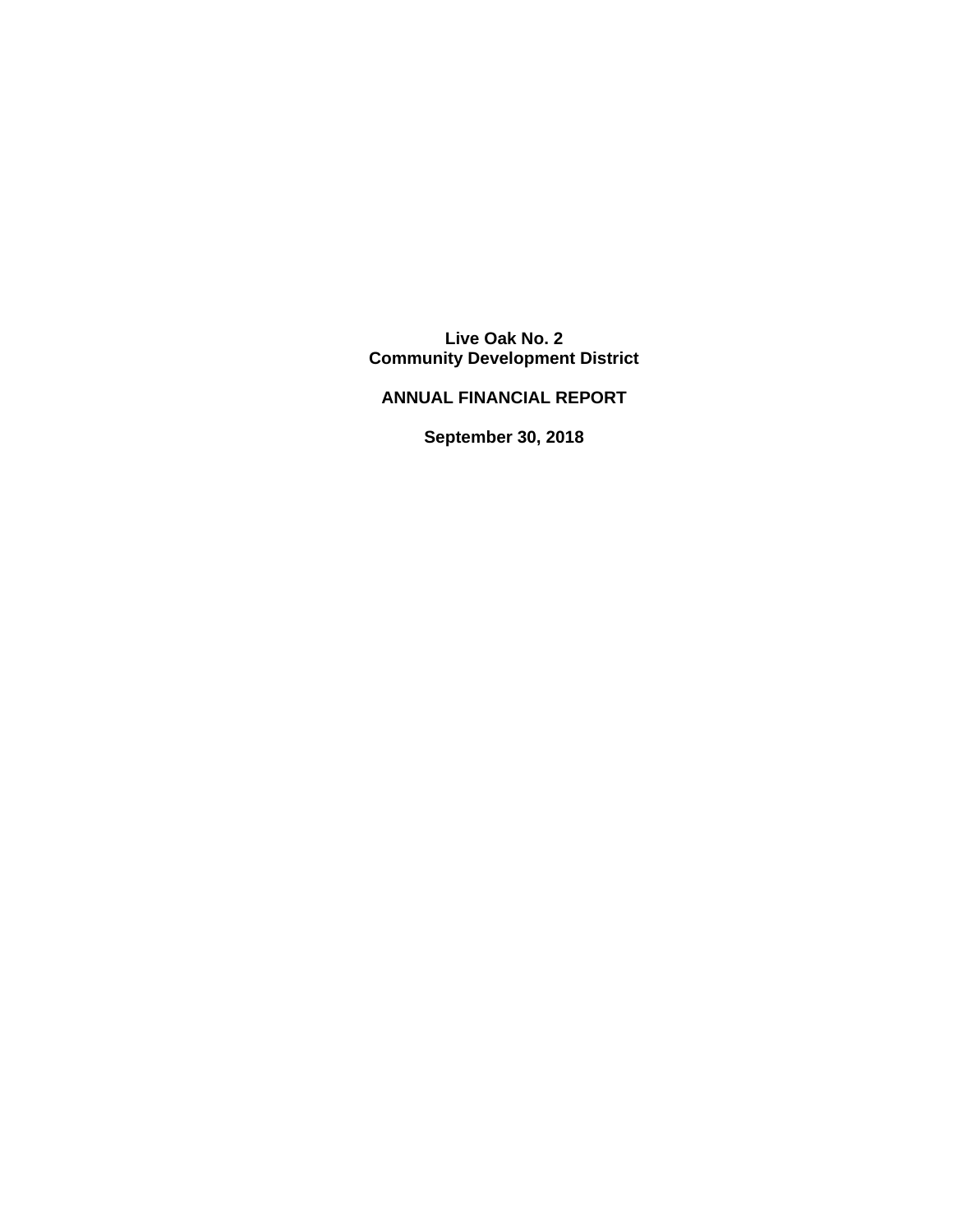**Community Development District Live Oak No. 2** 

**ANNUAL FINANCIAL REPORT** 

**September 30, 2018**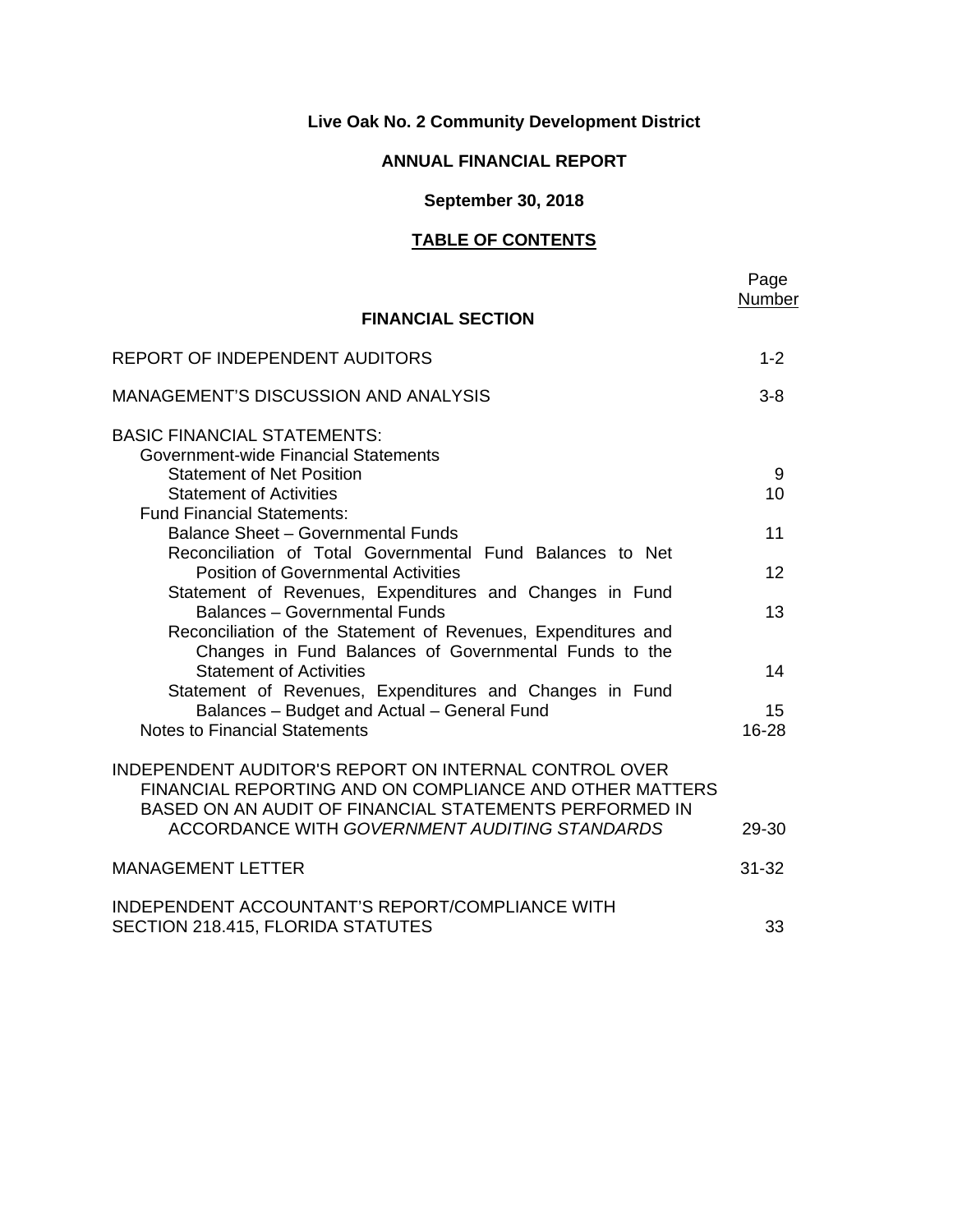# **Live Oak No. 2 Community Development District**

# **ANNUAL FINANCIAL REPORT**

# **September 30, 2018**

## **TABLE OF CONTENTS**

|                                                                                                                | Page<br>Number |
|----------------------------------------------------------------------------------------------------------------|----------------|
| <b>FINANCIAL SECTION</b>                                                                                       |                |
| REPORT OF INDEPENDENT AUDITORS                                                                                 | $1 - 2$        |
| <b>MANAGEMENT'S DISCUSSION AND ANALYSIS</b>                                                                    | $3 - 8$        |
| <b>BASIC FINANCIAL STATEMENTS:</b>                                                                             |                |
| Government-wide Financial Statements                                                                           |                |
| <b>Statement of Net Position</b><br><b>Statement of Activities</b>                                             | 9<br>10        |
| <b>Fund Financial Statements:</b>                                                                              |                |
| <b>Balance Sheet - Governmental Funds</b>                                                                      | 11             |
| Reconciliation of Total Governmental Fund Balances to Net                                                      |                |
| <b>Position of Governmental Activities</b>                                                                     | 12             |
| Statement of Revenues, Expenditures and Changes in Fund                                                        |                |
| <b>Balances - Governmental Funds</b>                                                                           | 13             |
| Reconciliation of the Statement of Revenues, Expenditures and                                                  |                |
| Changes in Fund Balances of Governmental Funds to the                                                          |                |
| <b>Statement of Activities</b>                                                                                 | 14             |
| Statement of Revenues, Expenditures and Changes in Fund                                                        |                |
| Balances - Budget and Actual - General Fund                                                                    | 15             |
| <b>Notes to Financial Statements</b>                                                                           | 16-28          |
|                                                                                                                |                |
| INDEPENDENT AUDITOR'S REPORT ON INTERNAL CONTROL OVER                                                          |                |
| FINANCIAL REPORTING AND ON COMPLIANCE AND OTHER MATTERS                                                        |                |
| BASED ON AN AUDIT OF FINANCIAL STATEMENTS PERFORMED IN<br><b>ACCORDANCE WITH GOVERNMENT AUDITING STANDARDS</b> | 29-30          |
|                                                                                                                |                |
| <b>MANAGEMENT LETTER</b>                                                                                       | $31 - 32$      |
| INDEPENDENT ACCOUNTANT'S REPORT/COMPLIANCE WITH                                                                |                |
| SECTION 218.415, FLORIDA STATUTES                                                                              | 33             |
|                                                                                                                |                |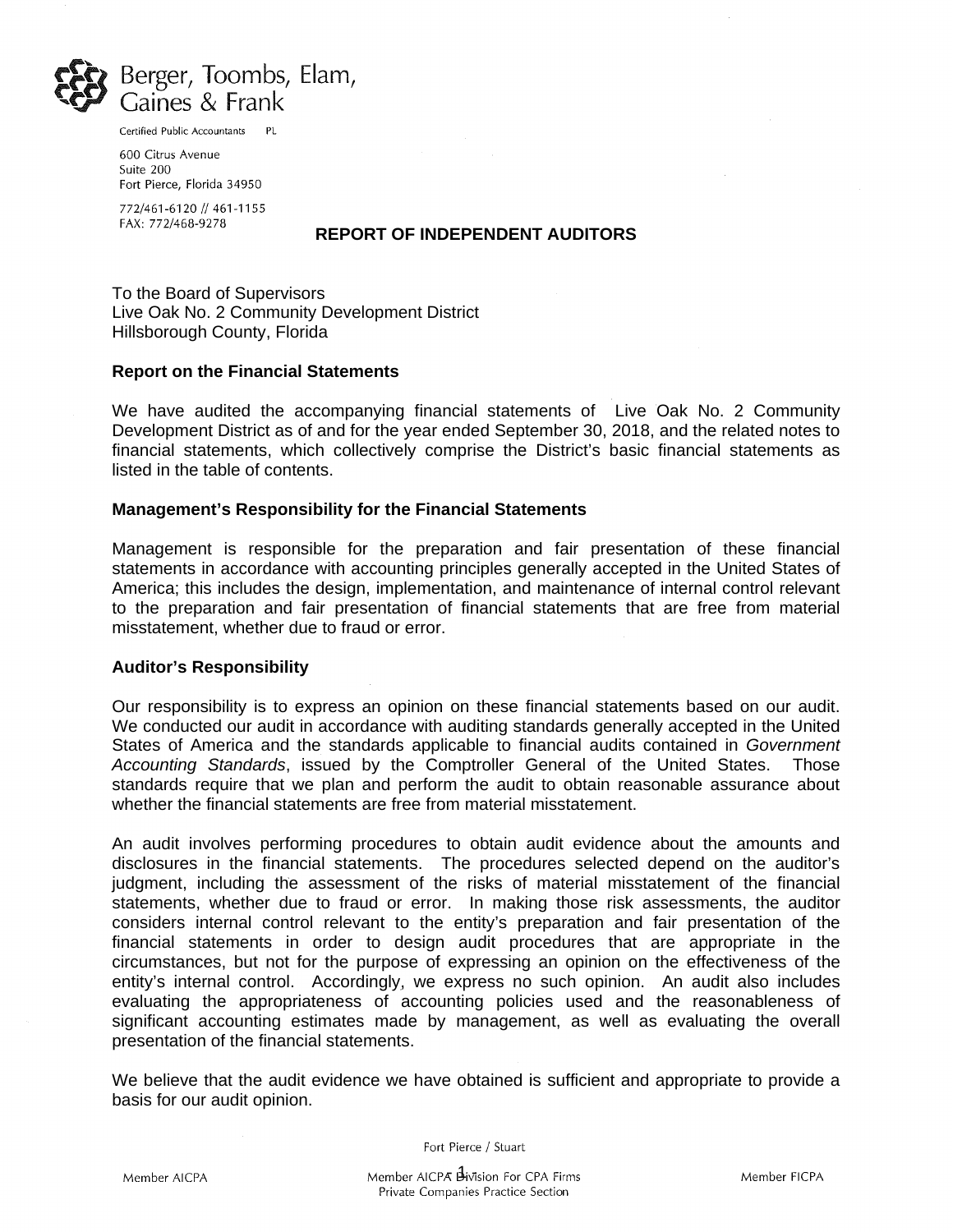

Certified Public Accountants PL

600 Citrus Avenue Suite 200 Fort Pierce, Florida 34950

772/461-6120 // 461-1155 FAX: 772/468-9278

#### **REPORT OF INDEPENDENT AUDITORS**

To the Board of Supervisors Live Oak No. 2 Community Development District Hillsborough County, Florida

#### **Report on the Financial Statements**

We have audited the accompanying financial statements of Live Oak No. 2 Community Development District as of and for the year ended September 30, 2018, and the related notes to financial statements, which collectively comprise the District's basic financial statements as listed in the table of contents.

#### **Management's Responsibility for the Financial Statements**

Management is responsible for the preparation and fair presentation of these financial statements in accordance with accounting principles generally accepted in the United States of America; this includes the design, implementation, and maintenance of internal control relevant to the preparation and fair presentation of financial statements that are free from material misstatement, whether due to fraud or error.

#### **Auditor's Responsibility**

Our responsibility is to express an opinion on these financial statements based on our audit. We conducted our audit in accordance with auditing standards generally accepted in the United States of America and the standards applicable to financial audits contained in *Government Accounting Standards*, issued by the Comptroller General of the United States. Those standards require that we plan and perform the audit to obtain reasonable assurance about whether the financial statements are free from material misstatement.

An audit involves performing procedures to obtain audit evidence about the amounts and disclosures in the financial statements. The procedures selected depend on the auditor's judgment, including the assessment of the risks of material misstatement of the financial statements, whether due to fraud or error. In making those risk assessments, the auditor considers internal control relevant to the entity's preparation and fair presentation of the financial statements in order to design audit procedures that are appropriate in the circumstances, but not for the purpose of expressing an opinion on the effectiveness of the entity's internal control. Accordingly, we express no such opinion. An audit also includes evaluating the appropriateness of accounting policies used and the reasonableness of significant accounting estimates made by management, as well as evaluating the overall presentation of the financial statements.

We believe that the audit evidence we have obtained is sufficient and appropriate to provide a basis for our audit opinion.

Fort Pierce / Stuart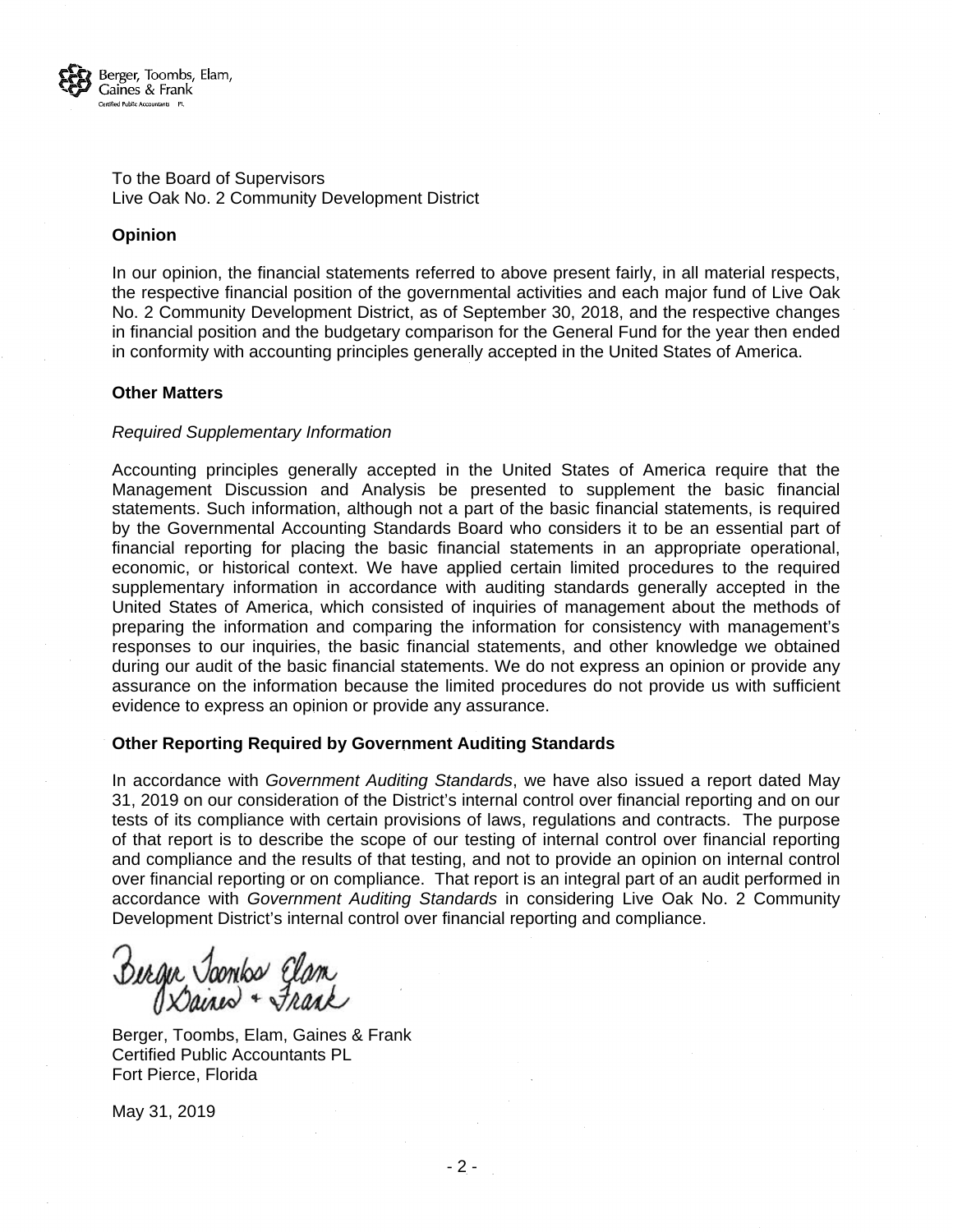

To the Board of Supervisors Live Oak No. 2 Community Development District

#### **Opinion**

In our opinion, the financial statements referred to above present fairly, in all material respects, the respective financial position of the governmental activities and each major fund of Live Oak No. 2 Community Development District, as of September 30, 2018, and the respective changes in financial position and the budgetary comparison for the General Fund for the year then ended in conformity with accounting principles generally accepted in the United States of America.

#### **Other Matters**

#### *Required Supplementary Information*

Accounting principles generally accepted in the United States of America require that the Management Discussion and Analysis be presented to supplement the basic financial statements. Such information, although not a part of the basic financial statements, is required by the Governmental Accounting Standards Board who considers it to be an essential part of financial reporting for placing the basic financial statements in an appropriate operational, economic, or historical context. We have applied certain limited procedures to the required supplementary information in accordance with auditing standards generally accepted in the United States of America, which consisted of inquiries of management about the methods of preparing the information and comparing the information for consistency with management's responses to our inquiries, the basic financial statements, and other knowledge we obtained during our audit of the basic financial statements. We do not express an opinion or provide any assurance on the information because the limited procedures do not provide us with sufficient evidence to express an opinion or provide any assurance.

#### **Other Reporting Required by Government Auditing Standards**

In accordance with *Government Auditing Standards*, we have also issued a report dated May 31, 2019 on our consideration of the District's internal control over financial reporting and on our tests of its compliance with certain provisions of laws, regulations and contracts. The purpose of that report is to describe the scope of our testing of internal control over financial reporting and compliance and the results of that testing, and not to provide an opinion on internal control over financial reporting or on compliance. That report is an integral part of an audit performed in accordance with *Government Auditing Standards* in considering Live Oak No. 2 Community Development District's internal control over financial reporting and compliance.

Bergin Jamba Elam

Berger, Toombs, Elam, Gaines & Frank Certified Public Accountants PL Fort Pierce, Florida

May 31, 2019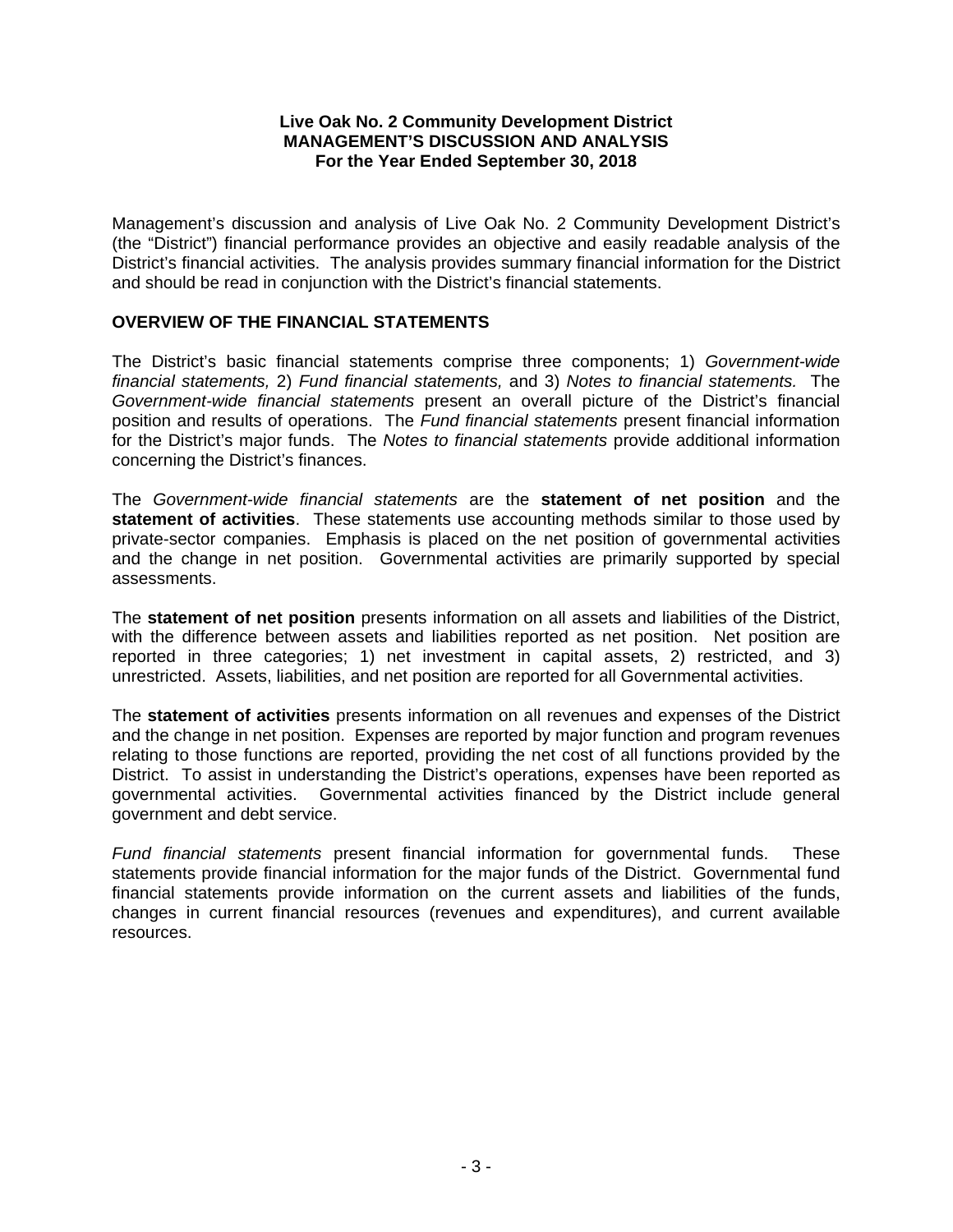Management's discussion and analysis of Live Oak No. 2 Community Development District's (the "District") financial performance provides an objective and easily readable analysis of the District's financial activities. The analysis provides summary financial information for the District and should be read in conjunction with the District's financial statements.

### **OVERVIEW OF THE FINANCIAL STATEMENTS**

The District's basic financial statements comprise three components; 1) *Government-wide financial statements,* 2) *Fund financial statements,* and 3) *Notes to financial statements.* The *Government-wide financial statements* present an overall picture of the District's financial position and results of operations. The *Fund financial statements* present financial information for the District's major funds. The *Notes to financial statements* provide additional information concerning the District's finances.

The *Government-wide financial statements* are the **statement of net position** and the **statement of activities**. These statements use accounting methods similar to those used by private-sector companies. Emphasis is placed on the net position of governmental activities and the change in net position. Governmental activities are primarily supported by special assessments.

The **statement of net position** presents information on all assets and liabilities of the District, with the difference between assets and liabilities reported as net position. Net position are reported in three categories; 1) net investment in capital assets, 2) restricted, and 3) unrestricted. Assets, liabilities, and net position are reported for all Governmental activities.

The **statement of activities** presents information on all revenues and expenses of the District and the change in net position. Expenses are reported by major function and program revenues relating to those functions are reported, providing the net cost of all functions provided by the District. To assist in understanding the District's operations, expenses have been reported as governmental activities. Governmental activities financed by the District include general government and debt service.

*Fund financial statements* present financial information for governmental funds. These statements provide financial information for the major funds of the District. Governmental fund financial statements provide information on the current assets and liabilities of the funds, changes in current financial resources (revenues and expenditures), and current available resources.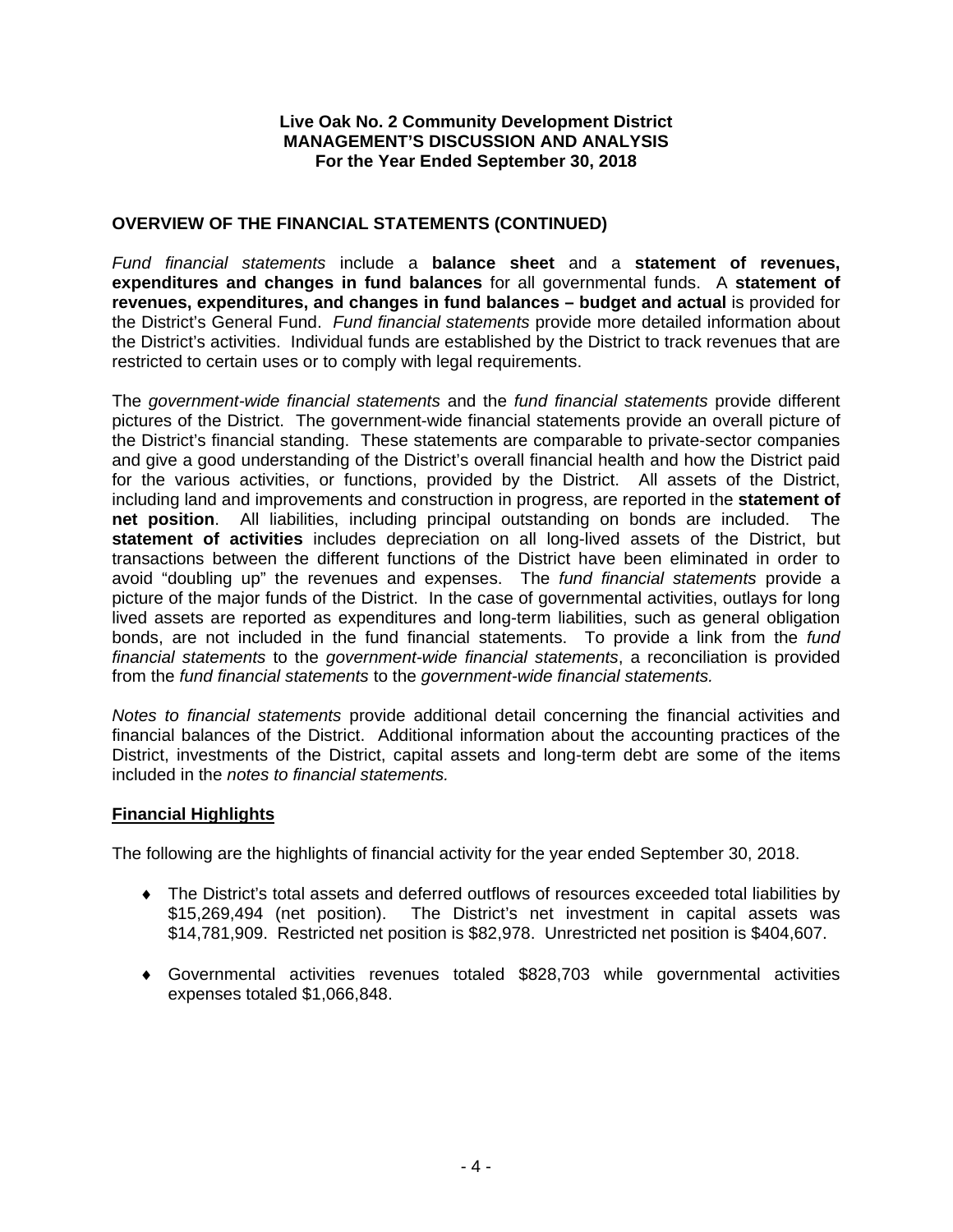### **OVERVIEW OF THE FINANCIAL STATEMENTS (CONTINUED)**

*Fund financial statements* include a **balance sheet** and a **statement of revenues, expenditures and changes in fund balances** for all governmental funds. A **statement of revenues, expenditures, and changes in fund balances – budget and actual** is provided for the District's General Fund. *Fund financial statements* provide more detailed information about the District's activities. Individual funds are established by the District to track revenues that are restricted to certain uses or to comply with legal requirements.

The *government-wide financial statements* and the *fund financial statements* provide different pictures of the District. The government-wide financial statements provide an overall picture of the District's financial standing. These statements are comparable to private-sector companies and give a good understanding of the District's overall financial health and how the District paid for the various activities, or functions, provided by the District. All assets of the District, including land and improvements and construction in progress, are reported in the **statement of net position**. All liabilities, including principal outstanding on bonds are included. The **statement of activities** includes depreciation on all long-lived assets of the District, but transactions between the different functions of the District have been eliminated in order to avoid "doubling up" the revenues and expenses. The *fund financial statements* provide a picture of the major funds of the District. In the case of governmental activities, outlays for long lived assets are reported as expenditures and long-term liabilities, such as general obligation bonds, are not included in the fund financial statements. To provide a link from the *fund financial statements* to the *government-wide financial statements*, a reconciliation is provided from the *fund financial statements* to the *government-wide financial statements.* 

*Notes to financial statements* provide additional detail concerning the financial activities and financial balances of the District. Additional information about the accounting practices of the District, investments of the District, capital assets and long-term debt are some of the items included in the *notes to financial statements.* 

### **Financial Highlights**

The following are the highlights of financial activity for the year ended September 30, 2018.

- The District's total assets and deferred outflows of resources exceeded total liabilities by \$15,269,494 (net position). The District's net investment in capital assets was \$14,781,909. Restricted net position is \$82,978. Unrestricted net position is \$404,607.
- Governmental activities revenues totaled \$828,703 while governmental activities expenses totaled \$1,066,848.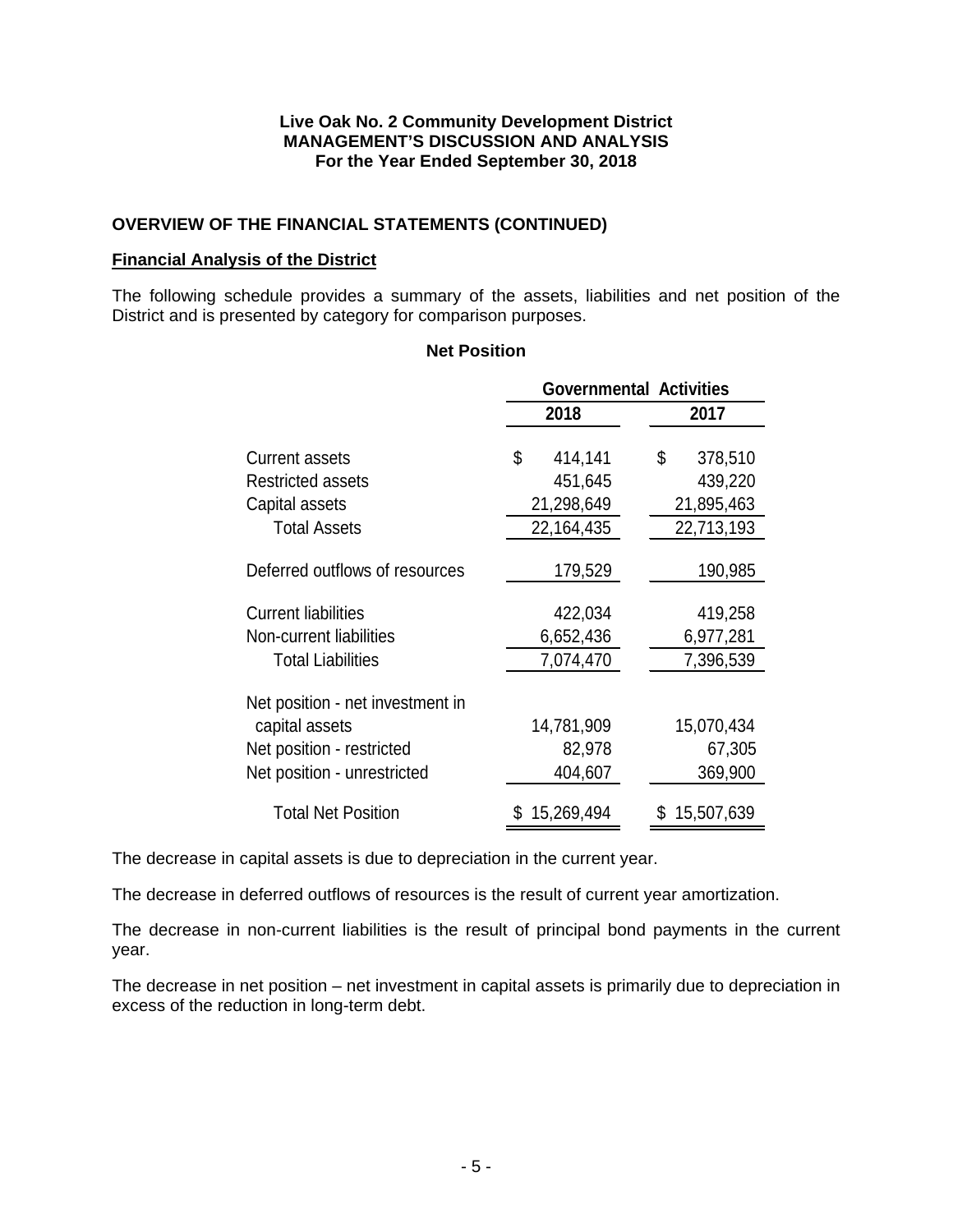## **OVERVIEW OF THE FINANCIAL STATEMENTS (CONTINUED)**

### **Financial Analysis of the District**

The following schedule provides a summary of the assets, liabilities and net position of the District and is presented by category for comparison purposes.

|                                  |               | <b>Governmental Activities</b> |
|----------------------------------|---------------|--------------------------------|
|                                  | 2018          | 2017                           |
| <b>Current assets</b>            | \$<br>414,141 | \$<br>378,510                  |
| <b>Restricted assets</b>         | 451,645       | 439,220                        |
| Capital assets                   | 21,298,649    | 21,895,463                     |
| <b>Total Assets</b>              | 22,164,435    | 22,713,193                     |
| Deferred outflows of resources   | 179,529       | 190,985                        |
| <b>Current liabilities</b>       | 422,034       | 419,258                        |
| Non-current liabilities          | 6,652,436     | 6,977,281                      |
| <b>Total Liabilities</b>         | 7,074,470     | 7,396,539                      |
| Net position - net investment in |               |                                |
| capital assets                   | 14,781,909    | 15,070,434                     |
| Net position - restricted        | 82,978        | 67,305                         |
| Net position - unrestricted      | 404,607       | 369,900                        |
| <b>Total Net Position</b>        | \$15,269,494  | \$15,507,639                   |

#### **Net Position**

The decrease in capital assets is due to depreciation in the current year.

The decrease in deferred outflows of resources is the result of current year amortization.

 year. The decrease in non-current liabilities is the result of principal bond payments in the current

The decrease in net position – net investment in capital assets is primarily due to depreciation in excess of the reduction in long-term debt.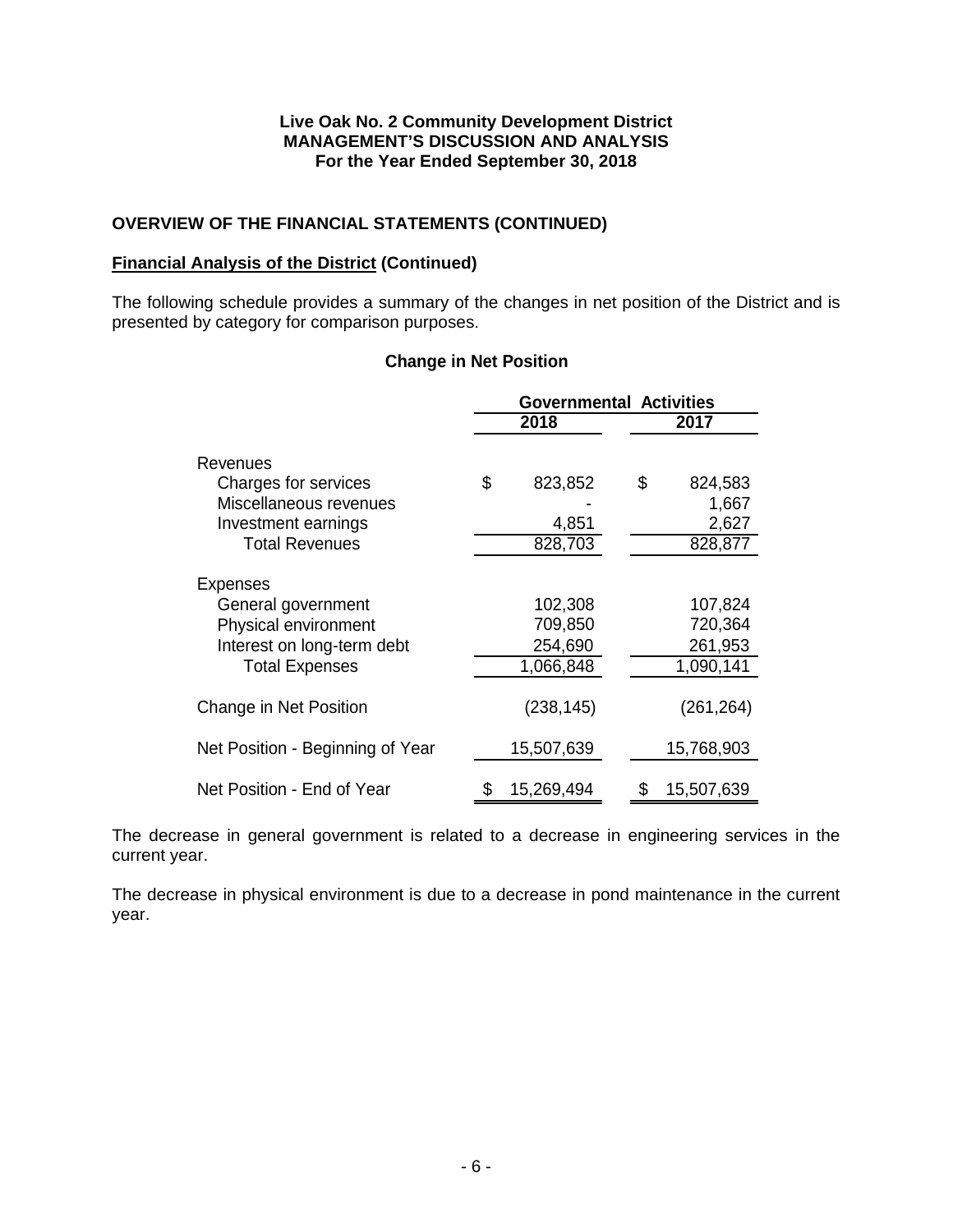## **OVERVIEW OF THE FINANCIAL STATEMENTS (CONTINUED)**

### **Financial Analysis of the District (Continued)**

The following schedule provides a summary of the changes in net position of the District and is presented by category for comparison purposes.

### **Change in Net Position**

|                                                                                                               | <b>Governmental Activities</b> |                                            |    |                                            |
|---------------------------------------------------------------------------------------------------------------|--------------------------------|--------------------------------------------|----|--------------------------------------------|
|                                                                                                               | 2018                           |                                            |    | 2017                                       |
| Revenues                                                                                                      |                                |                                            |    |                                            |
| Charges for services                                                                                          | \$                             | 823,852                                    | \$ | 824,583                                    |
| Miscellaneous revenues                                                                                        |                                |                                            |    | 1,667                                      |
| Investment earnings                                                                                           |                                | 4,851                                      |    | 2,627                                      |
| <b>Total Revenues</b>                                                                                         |                                | 828,703                                    |    | 828,877                                    |
| Expenses<br>General government<br>Physical environment<br>Interest on long-term debt<br><b>Total Expenses</b> |                                | 102,308<br>709,850<br>254,690<br>1,066,848 |    | 107,824<br>720,364<br>261,953<br>1,090,141 |
| Change in Net Position                                                                                        |                                | (238, 145)                                 |    | (261, 264)                                 |
| Net Position - Beginning of Year                                                                              |                                | 15,507,639                                 |    | 15,768,903                                 |
| Net Position - End of Year                                                                                    |                                | 15,269,494                                 | S  | 15,507,639                                 |

The decrease in general government is related to a decrease in engineering services in the current year.

The decrease in physical environment is due to a decrease in pond maintenance in the current year.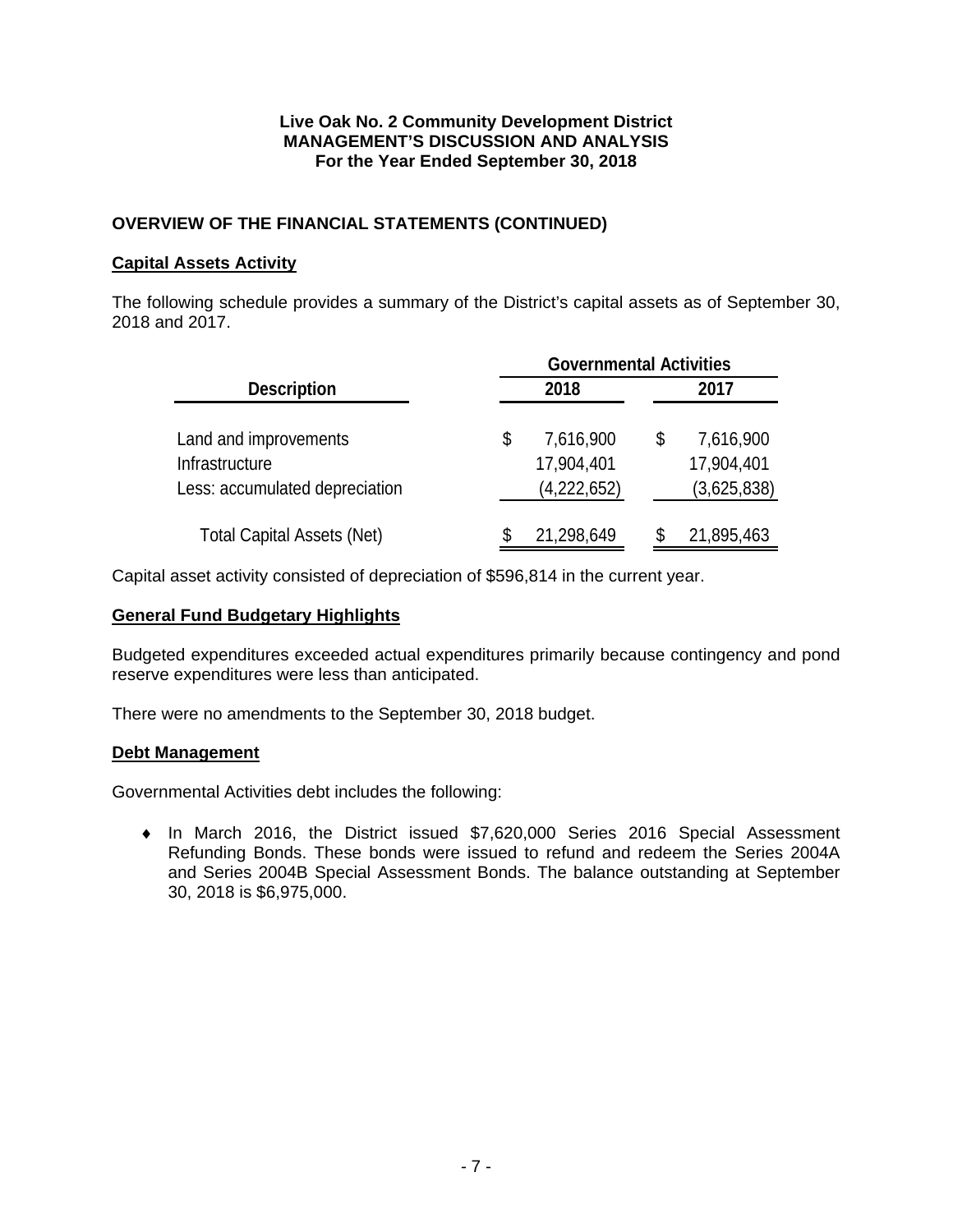## **OVERVIEW OF THE FINANCIAL STATEMENTS (CONTINUED)**

### **Capital Assets Activity**

The following schedule provides a summary of the District's capital assets as of September 30, 2018 and 2017.

|                                   | <b>Governmental Activities</b> |             |      |             |  |  |  |
|-----------------------------------|--------------------------------|-------------|------|-------------|--|--|--|
| <b>Description</b>                |                                | 2018        | 2017 |             |  |  |  |
| Land and improvements             | S                              | 7,616,900   | S    | 7,616,900   |  |  |  |
| Infrastructure                    |                                | 17,904,401  |      | 17,904,401  |  |  |  |
| Less: accumulated depreciation    |                                | (4,222,652) |      | (3,625,838) |  |  |  |
| <b>Total Capital Assets (Net)</b> |                                | 21,298,649  |      | 21,895,463  |  |  |  |

Capital asset activity consisted of depreciation of \$596,814 in the current year.

#### **General Fund Budgetary Highlights**

Budgeted expenditures exceeded actual expenditures primarily because contingency and pond reserve expenditures were less than anticipated.

There were no amendments to the September 30, 2018 budget.

#### **Debt Management**

Governmental Activities debt includes the following:

 In March 2016, the District issued \$7,620,000 Series 2016 Special Assessment Refunding Bonds. These bonds were issued to refund and redeem the Series 2004A and Series 2004B Special Assessment Bonds. The balance outstanding at September 30, 2018 is \$6,975,000.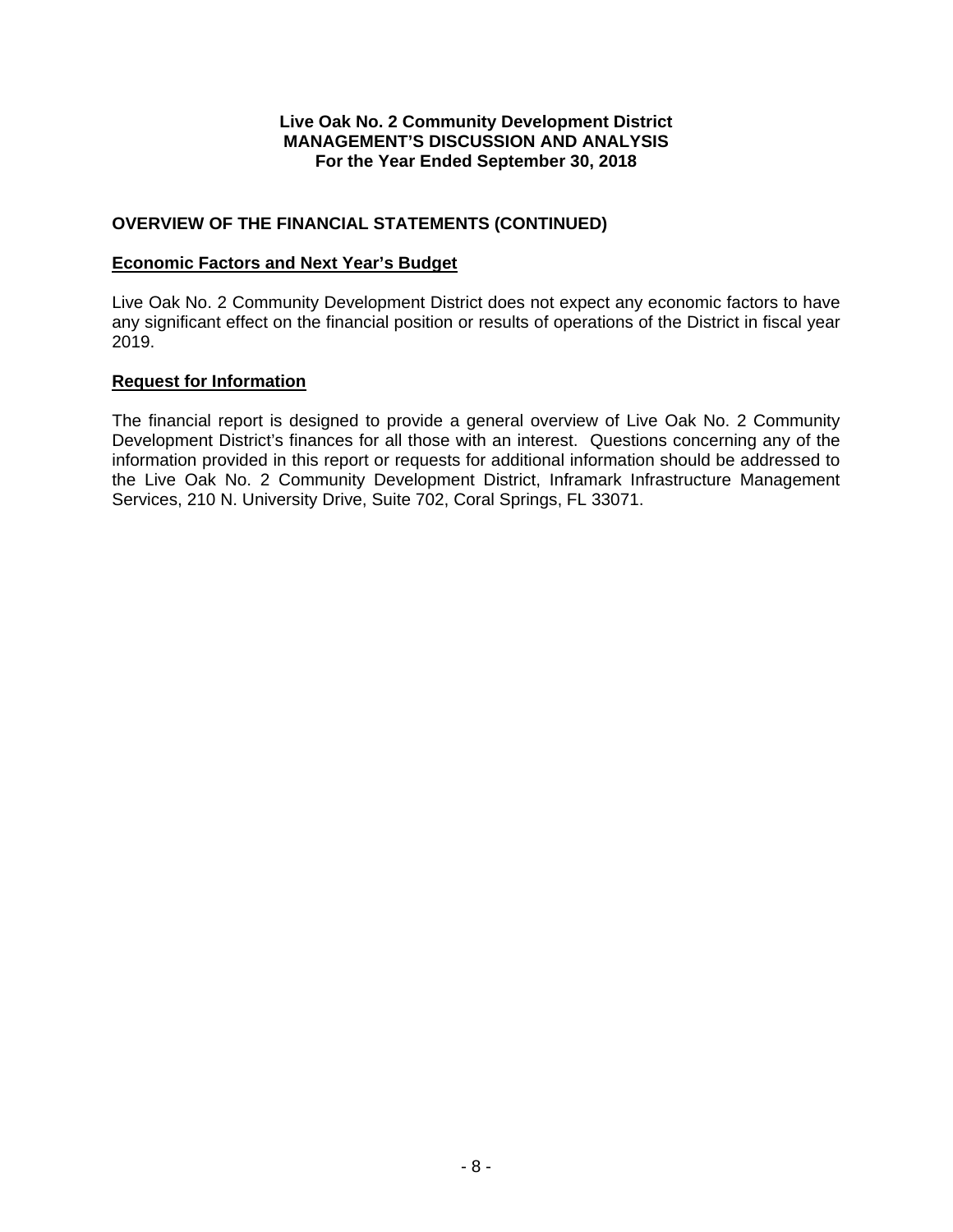### **OVERVIEW OF THE FINANCIAL STATEMENTS (CONTINUED)**

### **Economic Factors and Next Year's Budget**

Live Oak No. 2 Community Development District does not expect any economic factors to have any significant effect on the financial position or results of operations of the District in fiscal year 2019.

### **Request for Information**

The financial report is designed to provide a general overview of Live Oak No. 2 Community Development District's finances for all those with an interest. Questions concerning any of the information provided in this report or requests for additional information should be addressed to the Live Oak No. 2 Community Development District, Inframark Infrastructure Management Services, 210 N. University Drive, Suite 702, Coral Springs, FL 33071.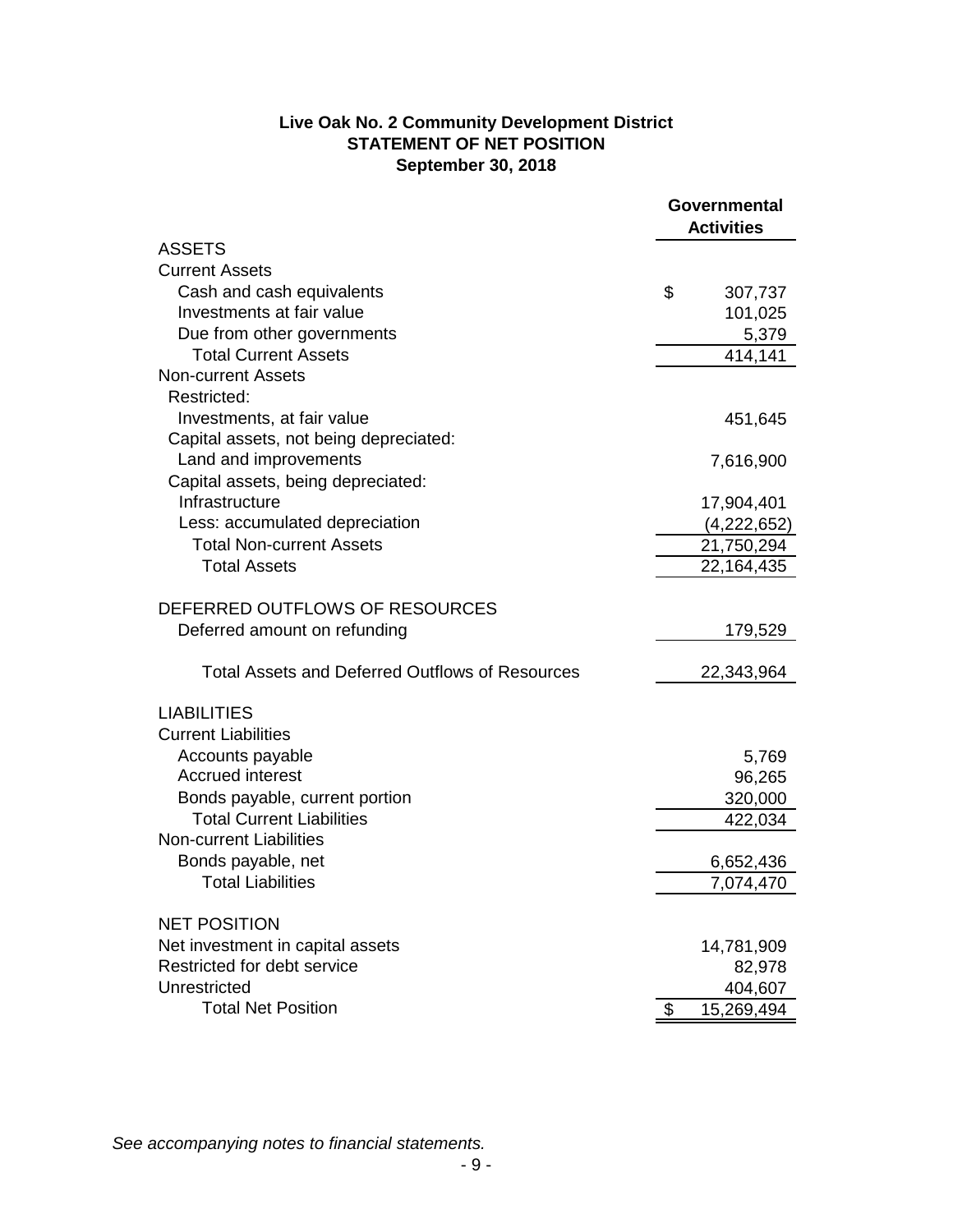### **Live Oak No. 2 Community Development District STATEMENT OF NET POSITION September 30, 2018**

|                                                                | Governmental<br><b>Activities</b> |  |
|----------------------------------------------------------------|-----------------------------------|--|
| <b>ASSETS</b>                                                  |                                   |  |
| <b>Current Assets</b>                                          |                                   |  |
| Cash and cash equivalents                                      | \$<br>307,737                     |  |
| Investments at fair value                                      | 101,025                           |  |
| Due from other governments                                     | 5,379                             |  |
| <b>Total Current Assets</b>                                    | 414,141                           |  |
| <b>Non-current Assets</b>                                      |                                   |  |
| Restricted:                                                    |                                   |  |
| Investments, at fair value                                     | 451,645                           |  |
| Capital assets, not being depreciated:                         |                                   |  |
| Land and improvements                                          | 7,616,900                         |  |
| Capital assets, being depreciated:                             |                                   |  |
| Infrastructure                                                 | 17,904,401                        |  |
| Less: accumulated depreciation                                 | (4,222,652)                       |  |
| <b>Total Non-current Assets</b>                                | 21,750,294                        |  |
| <b>Total Assets</b>                                            | 22, 164, 435                      |  |
| DEFERRED OUTFLOWS OF RESOURCES<br>Deferred amount on refunding | 179,529                           |  |
| <b>Total Assets and Deferred Outflows of Resources</b>         | 22,343,964                        |  |
| <b>LIABILITIES</b><br><b>Current Liabilities</b>               |                                   |  |
| Accounts payable                                               | 5,769                             |  |
| <b>Accrued interest</b>                                        | 96,265                            |  |
| Bonds payable, current portion                                 | 320,000                           |  |
| <b>Total Current Liabilities</b>                               | 422,034                           |  |
| <b>Non-current Liabilities</b>                                 |                                   |  |
| Bonds payable, net                                             | 6,652,436                         |  |
| <b>Total Liabilities</b>                                       | 7,074,470                         |  |
| <b>NET POSITION</b>                                            |                                   |  |
| Net investment in capital assets                               | 14,781,909                        |  |
| Restricted for debt service                                    | 82,978                            |  |
| Unrestricted                                                   | 404,607                           |  |
| <b>Total Net Position</b>                                      | \$<br>15,269,494                  |  |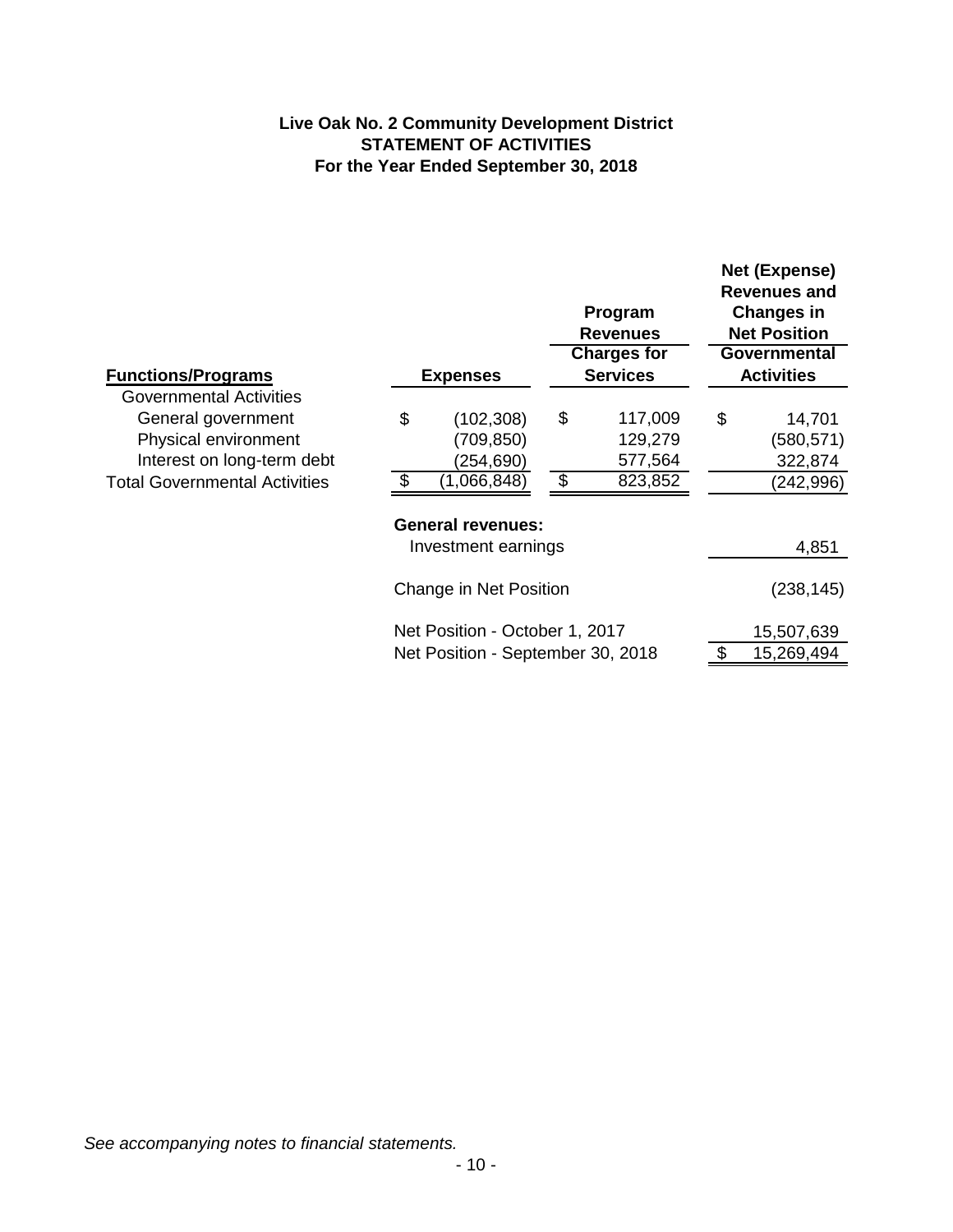## **Live Oak No. 2 Community Development District STATEMENT OF ACTIVITIES For the Year Ended September 30, 2018**

| <b>Functions/Programs</b>            | <b>Expenses</b>                                 |                                  | Program<br><b>Revenues</b><br><b>Charges for</b><br><b>Services</b> |               | <b>Net (Expense)</b><br><b>Revenues and</b><br><b>Changes in</b><br><b>Net Position</b><br>Governmental<br><b>Activities</b> |
|--------------------------------------|-------------------------------------------------|----------------------------------|---------------------------------------------------------------------|---------------|------------------------------------------------------------------------------------------------------------------------------|
| <b>Governmental Activities</b>       |                                                 |                                  |                                                                     |               |                                                                                                                              |
| General government                   | \$<br>(102, 308)                                | \$                               | 117,009                                                             | \$            | 14,701                                                                                                                       |
| Physical environment                 | (709, 850)                                      |                                  | 129,279                                                             |               | (580,571)                                                                                                                    |
| Interest on long-term debt           | (254,690)                                       |                                  | 577,564                                                             |               | 322,874                                                                                                                      |
| <b>Total Governmental Activities</b> | \$<br>(1,066,848)                               | $\overline{\boldsymbol{\theta}}$ | 823,852                                                             |               | (242, 996)                                                                                                                   |
|                                      | <b>General revenues:</b><br>Investment earnings |                                  |                                                                     |               | 4,851                                                                                                                        |
|                                      |                                                 |                                  |                                                                     |               |                                                                                                                              |
|                                      | Change in Net Position                          |                                  |                                                                     |               | (238, 145)                                                                                                                   |
|                                      | Net Position - October 1, 2017                  |                                  |                                                                     |               | 15,507,639                                                                                                                   |
|                                      | Net Position - September 30, 2018               |                                  |                                                                     | $\frac{1}{2}$ | 15,269,494                                                                                                                   |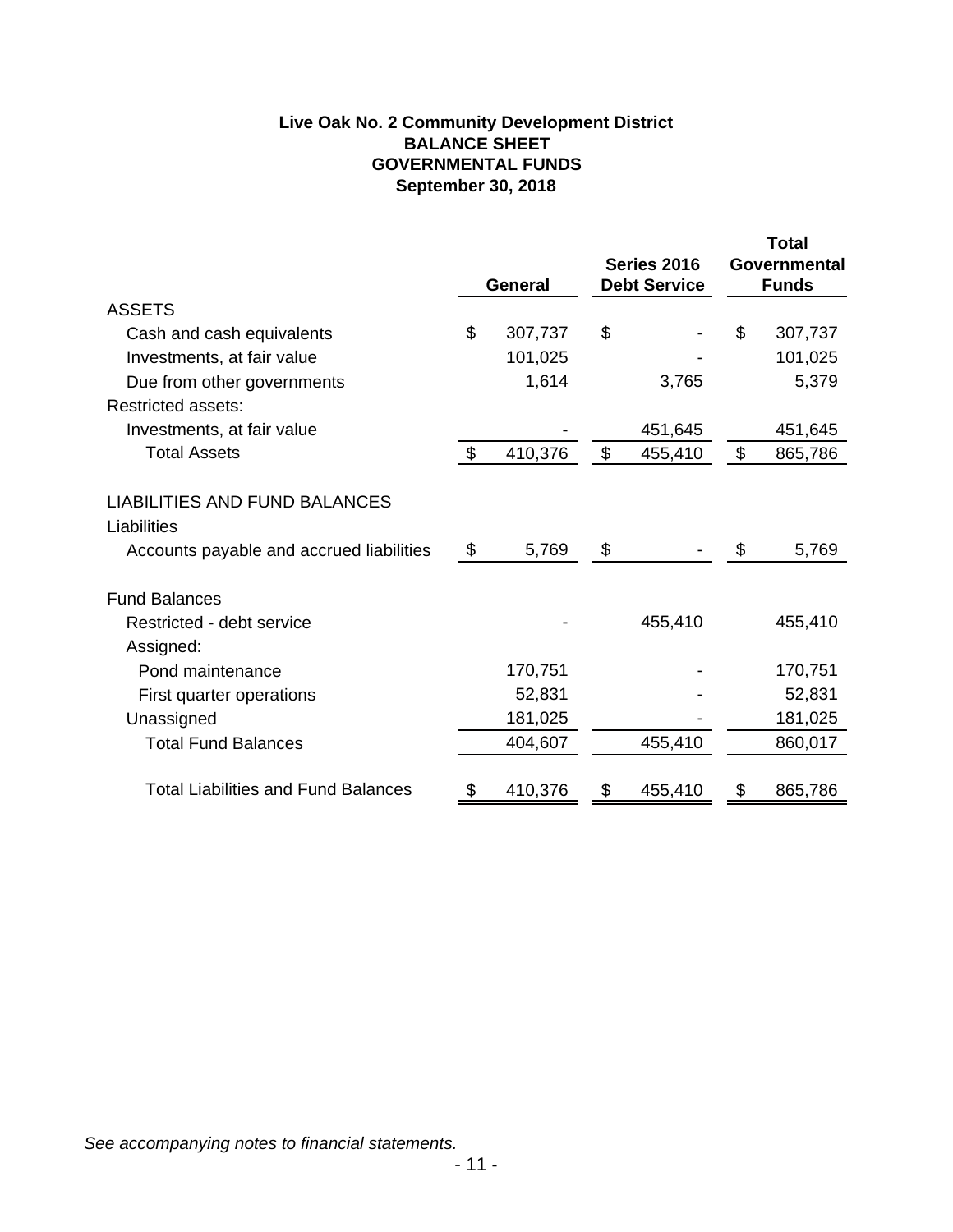## **Live Oak No. 2 Community Development District BALANCE SHEET GOVERNMENTAL FUNDS September 30, 2018**

|                                              | <b>General</b>            |         | Series 2016<br><b>Debt Service</b> |         | <b>Total</b><br><b>Governmental</b><br><b>Funds</b> |         |  |
|----------------------------------------------|---------------------------|---------|------------------------------------|---------|-----------------------------------------------------|---------|--|
| <b>ASSETS</b>                                |                           |         |                                    |         |                                                     |         |  |
| Cash and cash equivalents                    | \$                        | 307,737 | \$                                 |         | \$                                                  | 307,737 |  |
| Investments, at fair value                   |                           | 101,025 |                                    |         |                                                     | 101,025 |  |
| Due from other governments                   |                           | 1,614   |                                    | 3,765   |                                                     | 5,379   |  |
| <b>Restricted assets:</b>                    |                           |         |                                    |         |                                                     |         |  |
| Investments, at fair value                   |                           |         |                                    | 451,645 |                                                     | 451,645 |  |
| <b>Total Assets</b>                          | $\boldsymbol{\mathsf{S}}$ | 410,376 | $\boldsymbol{\mathsf{S}}$          | 455,410 | \$                                                  | 865,786 |  |
| LIABILITIES AND FUND BALANCES<br>Liabilities |                           |         |                                    |         |                                                     |         |  |
| Accounts payable and accrued liabilities     | \$                        | 5,769   | \$                                 |         | \$                                                  | 5,769   |  |
| <b>Fund Balances</b>                         |                           |         |                                    |         |                                                     |         |  |
| Restricted - debt service                    |                           |         |                                    | 455,410 |                                                     | 455,410 |  |
| Assigned:                                    |                           |         |                                    |         |                                                     |         |  |
| Pond maintenance                             |                           | 170,751 |                                    |         |                                                     | 170,751 |  |
| First quarter operations                     |                           | 52,831  |                                    |         |                                                     | 52,831  |  |
| Unassigned                                   |                           | 181,025 |                                    |         |                                                     | 181,025 |  |
| <b>Total Fund Balances</b>                   |                           | 404,607 |                                    | 455,410 |                                                     | 860,017 |  |
| <b>Total Liabilities and Fund Balances</b>   |                           | 410,376 | \$                                 | 455,410 | \$                                                  | 865,786 |  |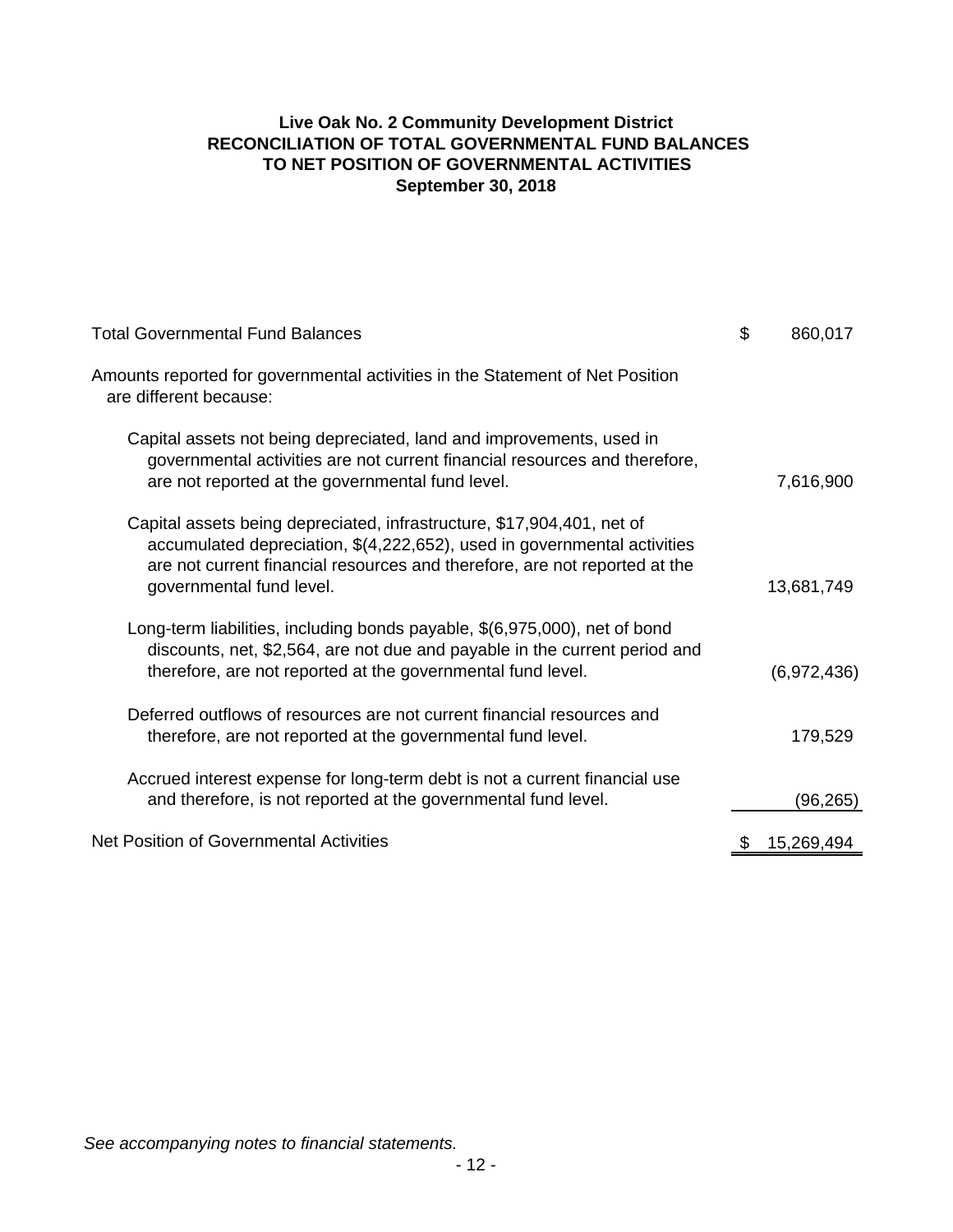## **Live Oak No. 2 Community Development District September 30, 2018 RECONCILIATION OF TOTAL GOVERNMENTAL FUND BALANCES TO NET POSITION OF GOVERNMENTAL ACTIVITIES**

| <b>Total Governmental Fund Balances</b>                                                                                                                                                                                                                      | \$<br>860,017 |
|--------------------------------------------------------------------------------------------------------------------------------------------------------------------------------------------------------------------------------------------------------------|---------------|
| Amounts reported for governmental activities in the Statement of Net Position<br>are different because:                                                                                                                                                      |               |
| Capital assets not being depreciated, land and improvements, used in<br>governmental activities are not current financial resources and therefore,<br>are not reported at the governmental fund level.                                                       | 7,616,900     |
| Capital assets being depreciated, infrastructure, \$17,904,401, net of<br>accumulated depreciation, \$(4,222,652), used in governmental activities<br>are not current financial resources and therefore, are not reported at the<br>governmental fund level. | 13,681,749    |
| Long-term liabilities, including bonds payable, \$(6,975,000), net of bond<br>discounts, net, \$2,564, are not due and payable in the current period and<br>therefore, are not reported at the governmental fund level.                                      | (6,972,436)   |
| Deferred outflows of resources are not current financial resources and<br>therefore, are not reported at the governmental fund level.                                                                                                                        | 179,529       |
| Accrued interest expense for long-term debt is not a current financial use<br>and therefore, is not reported at the governmental fund level.                                                                                                                 | (96, 265)     |
| Net Position of Governmental Activities                                                                                                                                                                                                                      | 15,269,494    |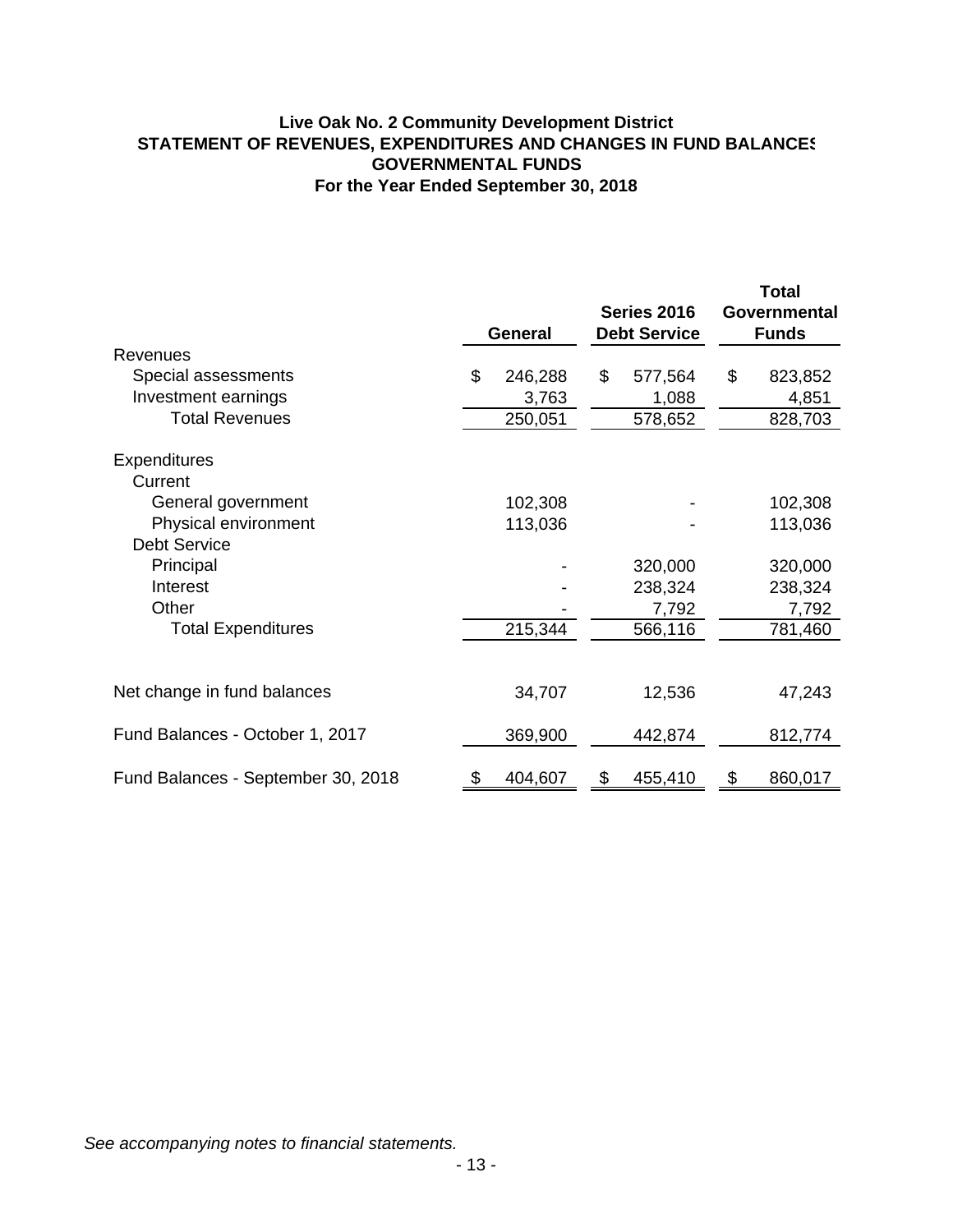## **For the Year Ended September 30, 2018 Live Oak No. 2 Community Development District STATEMENT OF REVENUES, EXPENDITURES AND CHANGES IN FUND BALANCES GOVERNMENTAL FUNDS**

|                                    | <b>General</b> | Series 2016<br><b>Debt Service</b> | <b>Total</b><br><b>Governmental</b><br><b>Funds</b> |
|------------------------------------|----------------|------------------------------------|-----------------------------------------------------|
| Revenues                           |                |                                    |                                                     |
| Special assessments                | \$<br>246,288  | \$<br>577,564                      | \$<br>823,852                                       |
| Investment earnings                | 3,763          | 1,088                              | 4,851                                               |
| <b>Total Revenues</b>              | 250,051        | 578,652                            | 828,703                                             |
| <b>Expenditures</b><br>Current     |                |                                    |                                                     |
| General government                 | 102,308        |                                    | 102,308                                             |
| Physical environment               | 113,036        |                                    | 113,036                                             |
| <b>Debt Service</b>                |                |                                    |                                                     |
| Principal                          |                | 320,000                            | 320,000                                             |
| Interest                           |                | 238,324                            | 238,324                                             |
| Other                              |                | 7,792                              | 7,792                                               |
| <b>Total Expenditures</b>          | 215,344        | 566,116                            | 781,460                                             |
|                                    |                |                                    |                                                     |
| Net change in fund balances        | 34,707         | 12,536                             | 47,243                                              |
| Fund Balances - October 1, 2017    | 369,900        | 442,874                            | 812,774                                             |
| Fund Balances - September 30, 2018 | 404,607        | \$<br>455,410                      | 860,017                                             |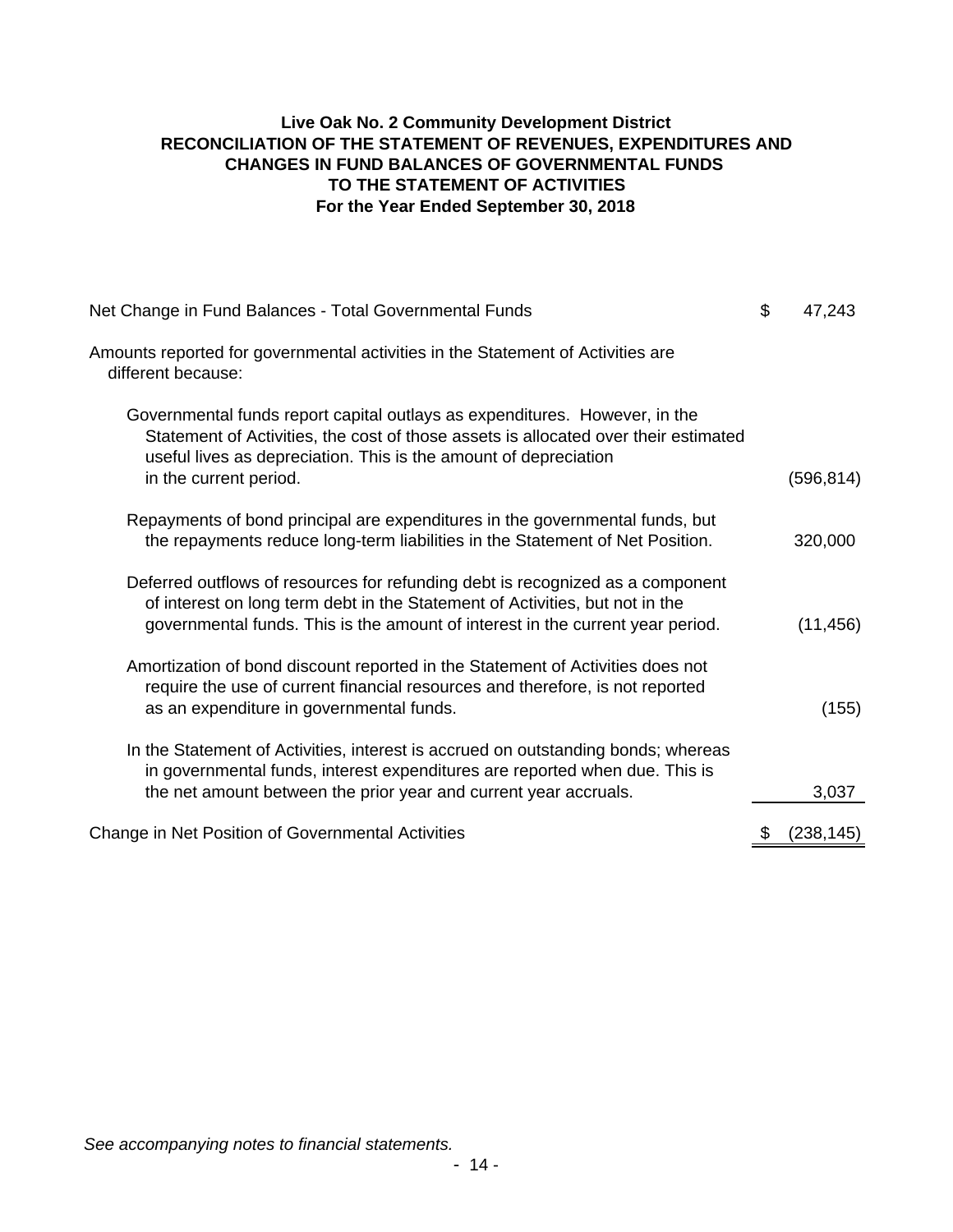## **Live Oak No. 2 Community Development District RECONCILIATION OF THE STATEMENT OF REVENUES, EXPENDITURES AND TO THE STATEMENT OF ACTIVITIES For the Year Ended September 30, 2018 CHANGES IN FUND BALANCES OF GOVERNMENTAL FUNDS**

| Net Change in Fund Balances - Total Governmental Funds                                                                                                                                                                                           | \$ | 47,243     |
|--------------------------------------------------------------------------------------------------------------------------------------------------------------------------------------------------------------------------------------------------|----|------------|
| Amounts reported for governmental activities in the Statement of Activities are<br>different because:                                                                                                                                            |    |            |
| Governmental funds report capital outlays as expenditures. However, in the<br>Statement of Activities, the cost of those assets is allocated over their estimated<br>useful lives as depreciation. This is the amount of depreciation            |    |            |
| in the current period.                                                                                                                                                                                                                           |    | (596, 814) |
| Repayments of bond principal are expenditures in the governmental funds, but<br>the repayments reduce long-term liabilities in the Statement of Net Position.                                                                                    |    | 320,000    |
| Deferred outflows of resources for refunding debt is recognized as a component<br>of interest on long term debt in the Statement of Activities, but not in the<br>governmental funds. This is the amount of interest in the current year period. |    | (11, 456)  |
| Amortization of bond discount reported in the Statement of Activities does not<br>require the use of current financial resources and therefore, is not reported<br>as an expenditure in governmental funds.                                      |    | (155)      |
| In the Statement of Activities, interest is accrued on outstanding bonds; whereas<br>in governmental funds, interest expenditures are reported when due. This is<br>the net amount between the prior year and current year accruals.             |    | 3,037      |
| Change in Net Position of Governmental Activities                                                                                                                                                                                                | 2  | (238, 145) |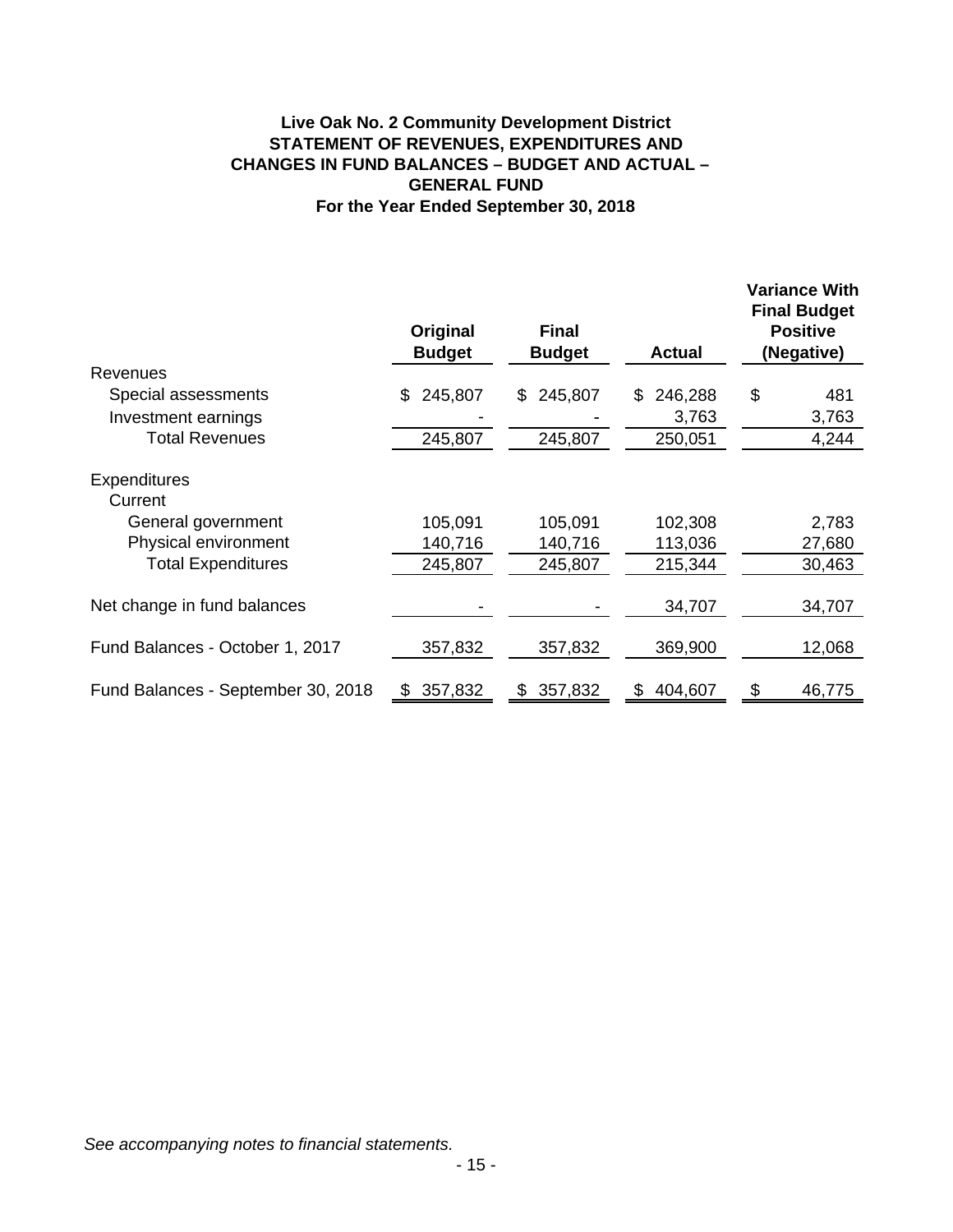## **Live Oak No. 2 Community Development District STATEMENT OF REVENUES, EXPENDITURES AND CHANGES IN FUND BALANCES – BUDGET AND ACTUAL – GENERAL FUND For the Year Ended September 30, 2018**

|                                    | Original<br><b>Budget</b> | <b>Final</b><br><b>Budget</b> | <b>Actual</b> | <b>Variance With</b><br><b>Final Budget</b><br><b>Positive</b><br>(Negative) |
|------------------------------------|---------------------------|-------------------------------|---------------|------------------------------------------------------------------------------|
| Revenues                           |                           |                               |               |                                                                              |
| Special assessments                | 245,807<br>\$             | 245,807<br>\$.                | 246,288<br>\$ | \$<br>481                                                                    |
| Investment earnings                |                           |                               | 3,763         | 3,763                                                                        |
| <b>Total Revenues</b>              | 245,807                   | 245,807                       | 250,051       | 4,244                                                                        |
| <b>Expenditures</b><br>Current     |                           |                               |               |                                                                              |
| General government                 | 105,091                   | 105,091                       | 102,308       | 2,783                                                                        |
| Physical environment               | 140,716                   | 140,716                       | 113,036       | 27,680                                                                       |
| <b>Total Expenditures</b>          | 245,807                   | 245,807                       | 215,344       | 30,463                                                                       |
| Net change in fund balances        |                           |                               | 34,707        | 34,707                                                                       |
| Fund Balances - October 1, 2017    | 357,832                   | 357,832                       | 369,900       | 12,068                                                                       |
| Fund Balances - September 30, 2018 | 357,832<br>£.             | 357,832<br>\$                 | 404,607       | 46,775<br>\$                                                                 |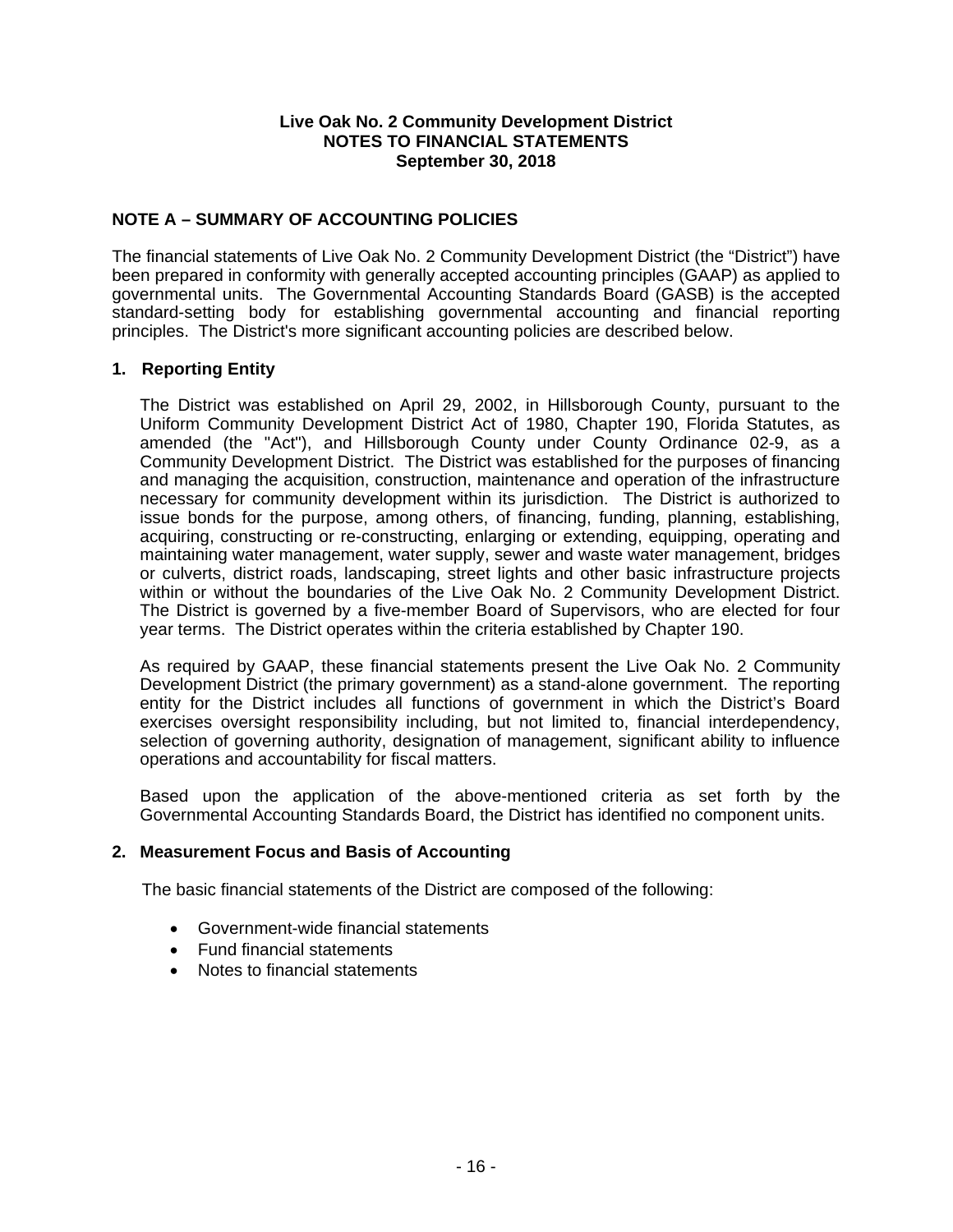### **NOTE A – SUMMARY OF ACCOUNTING POLICIES**

The financial statements of Live Oak No. 2 Community Development District (the "District") have been prepared in conformity with generally accepted accounting principles (GAAP) as applied to governmental units. The Governmental Accounting Standards Board (GASB) is the accepted standard-setting body for establishing governmental accounting and financial reporting principles. The District's more significant accounting policies are described below.

### **1. Reporting Entity**

The District was established on April 29, 2002, in Hillsborough County, pursuant to the Uniform Community Development District Act of 1980, Chapter 190, Florida Statutes, as amended (the "Act"), and Hillsborough County under County Ordinance 02-9, as a Community Development District. The District was established for the purposes of financing and managing the acquisition, construction, maintenance and operation of the infrastructure necessary for community development within its jurisdiction. The District is authorized to issue bonds for the purpose, among others, of financing, funding, planning, establishing, acquiring, constructing or re-constructing, enlarging or extending, equipping, operating and maintaining water management, water supply, sewer and waste water management, bridges or culverts, district roads, landscaping, street lights and other basic infrastructure projects within or without the boundaries of the Live Oak No. 2 Community Development District. The District is governed by a five-member Board of Supervisors, who are elected for four year terms. The District operates within the criteria established by Chapter 190.

As required by GAAP, these financial statements present the Live Oak No. 2 Community Development District (the primary government) as a stand-alone government. The reporting entity for the District includes all functions of government in which the District's Board exercises oversight responsibility including, but not limited to, financial interdependency, selection of governing authority, designation of management, significant ability to influence operations and accountability for fiscal matters.

Based upon the application of the above-mentioned criteria as set forth by the Governmental Accounting Standards Board, the District has identified no component units.

#### **2. Measurement Focus and Basis of Accounting**

The basic financial statements of the District are composed of the following:

- Government-wide financial statements
- Fund financial statements
- Notes to financial statements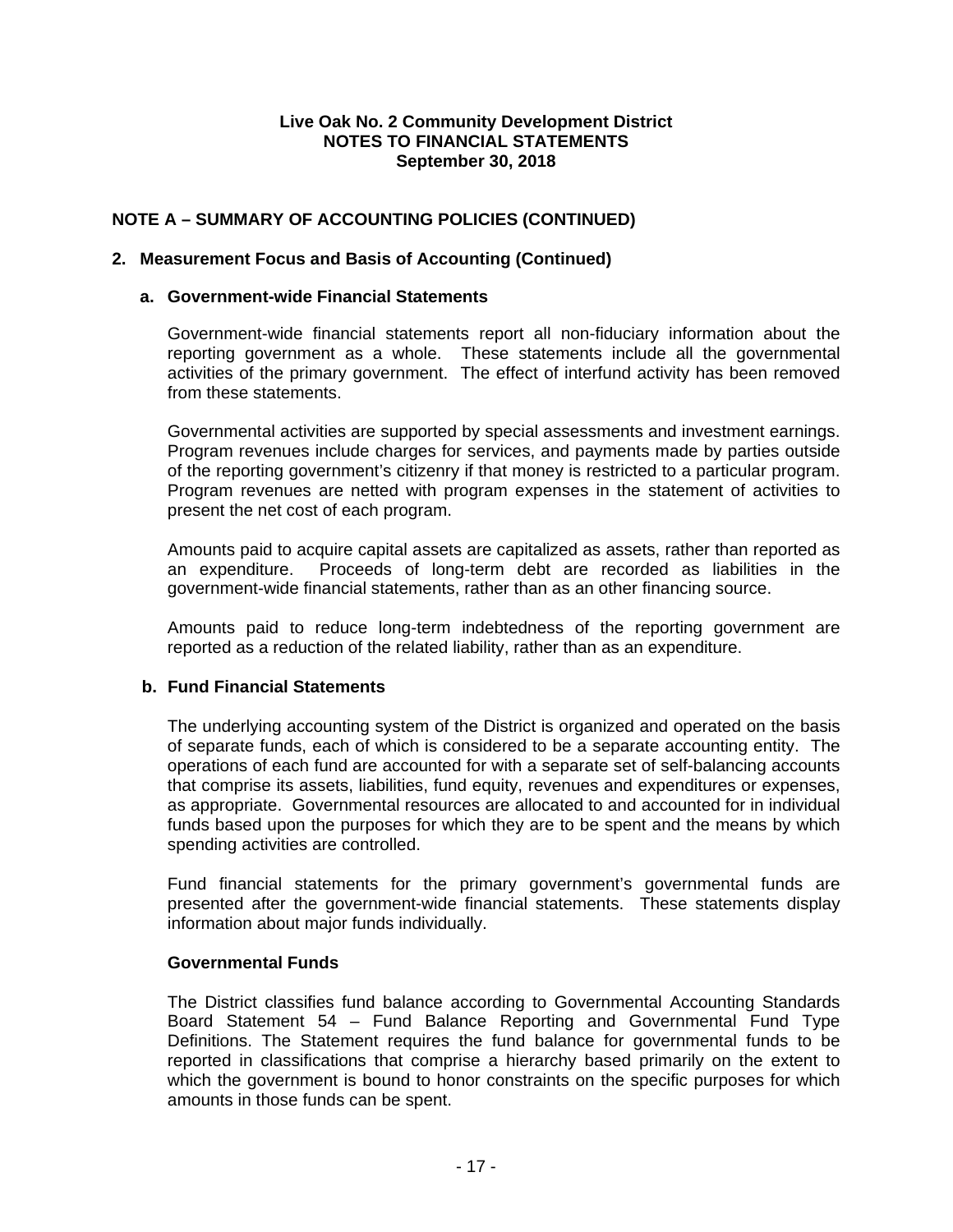## **NOTE A – SUMMARY OF ACCOUNTING POLICIES (CONTINUED)**

#### **2. Measurement Focus and Basis of Accounting (Continued)**

#### **a. Government-wide Financial Statements**

Government-wide financial statements report all non-fiduciary information about the reporting government as a whole. These statements include all the governmental activities of the primary government. The effect of interfund activity has been removed from these statements.

Governmental activities are supported by special assessments and investment earnings. Program revenues include charges for services, and payments made by parties outside of the reporting government's citizenry if that money is restricted to a particular program. Program revenues are netted with program expenses in the statement of activities to present the net cost of each program.

Amounts paid to acquire capital assets are capitalized as assets, rather than reported as an expenditure. Proceeds of long-term debt are recorded as liabilities in the government-wide financial statements, rather than as an other financing source.

Amounts paid to reduce long-term indebtedness of the reporting government are reported as a reduction of the related liability, rather than as an expenditure.

### **b. Fund Financial Statements**

The underlying accounting system of the District is organized and operated on the basis of separate funds, each of which is considered to be a separate accounting entity. The operations of each fund are accounted for with a separate set of self-balancing accounts that comprise its assets, liabilities, fund equity, revenues and expenditures or expenses, as appropriate. Governmental resources are allocated to and accounted for in individual funds based upon the purposes for which they are to be spent and the means by which spending activities are controlled.

Fund financial statements for the primary government's governmental funds are presented after the government-wide financial statements. These statements display information about major funds individually.

#### **Governmental Funds**

The District classifies fund balance according to Governmental Accounting Standards Board Statement 54 – Fund Balance Reporting and Governmental Fund Type Definitions. The Statement requires the fund balance for governmental funds to be reported in classifications that comprise a hierarchy based primarily on the extent to which the government is bound to honor constraints on the specific purposes for which amounts in those funds can be spent.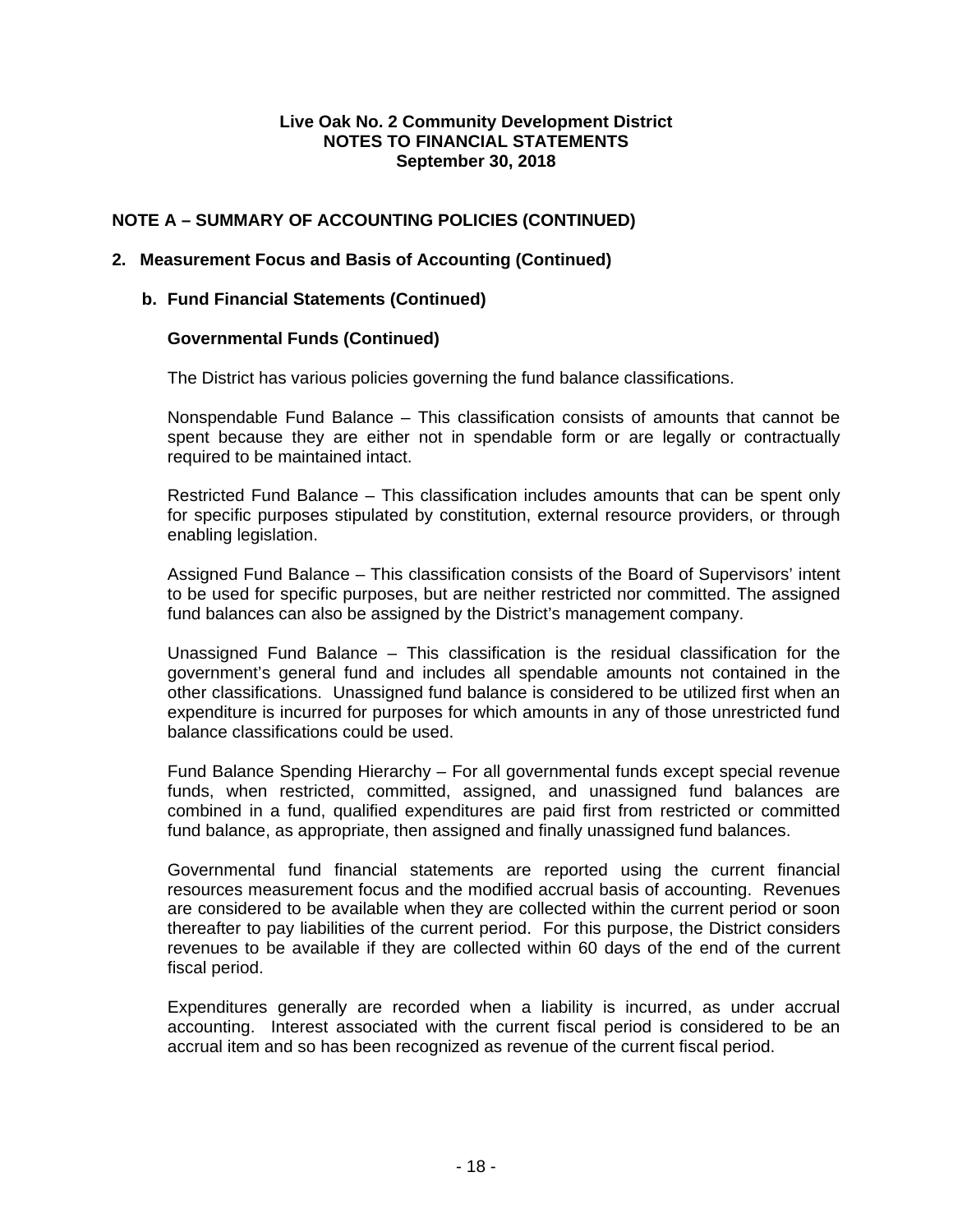## **NOTE A – SUMMARY OF ACCOUNTING POLICIES (CONTINUED)**

### **2. Measurement Focus and Basis of Accounting (Continued)**

### **b. Fund Financial Statements (Continued)**

### **Governmental Funds (Continued)**

The District has various policies governing the fund balance classifications.

Nonspendable Fund Balance – This classification consists of amounts that cannot be spent because they are either not in spendable form or are legally or contractually required to be maintained intact.

Restricted Fund Balance *–* This classification includes amounts that can be spent only for specific purposes stipulated by constitution, external resource providers, or through enabling legislation.

Assigned Fund Balance – This classification consists of the Board of Supervisors' intent to be used for specific purposes, but are neither restricted nor committed. The assigned fund balances can also be assigned by the District's management company.

Unassigned Fund Balance – This classification is the residual classification for the government's general fund and includes all spendable amounts not contained in the other classifications. Unassigned fund balance is considered to be utilized first when an expenditure is incurred for purposes for which amounts in any of those unrestricted fund balance classifications could be used.

Fund Balance Spending Hierarchy – For all governmental funds except special revenue funds, when restricted, committed, assigned, and unassigned fund balances are combined in a fund, qualified expenditures are paid first from restricted or committed fund balance, as appropriate, then assigned and finally unassigned fund balances.

Governmental fund financial statements are reported using the current financial resources measurement focus and the modified accrual basis of accounting. Revenues are considered to be available when they are collected within the current period or soon thereafter to pay liabilities of the current period. For this purpose, the District considers revenues to be available if they are collected within 60 days of the end of the current fiscal period.

Expenditures generally are recorded when a liability is incurred, as under accrual accounting. Interest associated with the current fiscal period is considered to be an accrual item and so has been recognized as revenue of the current fiscal period.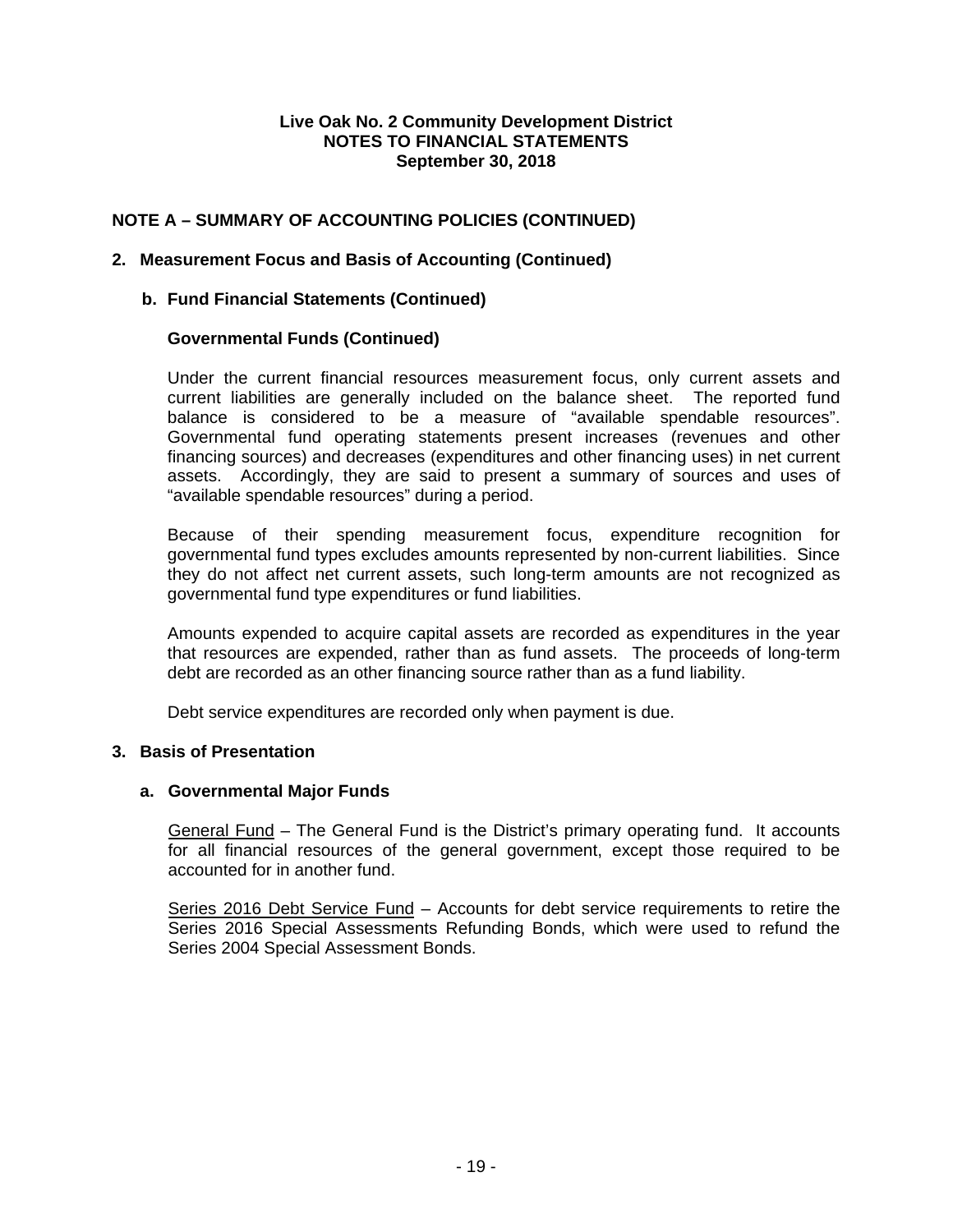## **NOTE A – SUMMARY OF ACCOUNTING POLICIES (CONTINUED)**

### **2. Measurement Focus and Basis of Accounting (Continued)**

#### **b. Fund Financial Statements (Continued)**

### **Governmental Funds (Continued)**

Under the current financial resources measurement focus, only current assets and current liabilities are generally included on the balance sheet. The reported fund balance is considered to be a measure of "available spendable resources". Governmental fund operating statements present increases (revenues and other financing sources) and decreases (expenditures and other financing uses) in net current assets. Accordingly, they are said to present a summary of sources and uses of "available spendable resources" during a period.

Because of their spending measurement focus, expenditure recognition for governmental fund types excludes amounts represented by non-current liabilities. Since they do not affect net current assets, such long-term amounts are not recognized as governmental fund type expenditures or fund liabilities.

Amounts expended to acquire capital assets are recorded as expenditures in the year that resources are expended, rather than as fund assets. The proceeds of long-term debt are recorded as an other financing source rather than as a fund liability.

Debt service expenditures are recorded only when payment is due.

#### **3. Basis of Presentation**

#### **a. Governmental Major Funds**

General Fund – The General Fund is the District's primary operating fund. It accounts for all financial resources of the general government, except those required to be accounted for in another fund.

Series 2016 Debt Service Fund – Accounts for debt service requirements to retire the Series 2016 Special Assessments Refunding Bonds, which were used to refund the Series 2004 Special Assessment Bonds.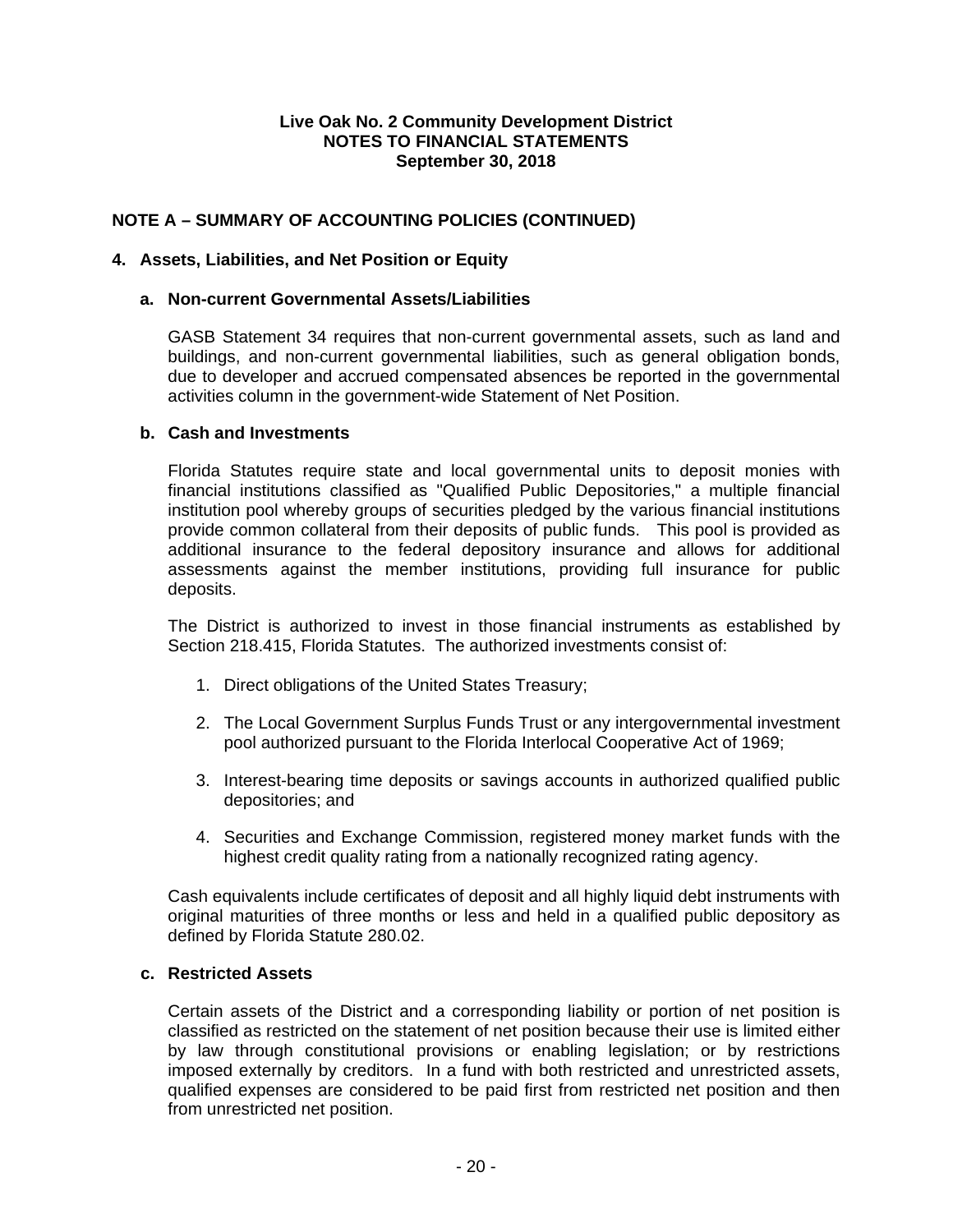## **NOTE A – SUMMARY OF ACCOUNTING POLICIES (CONTINUED)**

#### **4. Assets, Liabilities, and Net Position or Equity**

#### **a. Non-current Governmental Assets/Liabilities**

GASB Statement 34 requires that non-current governmental assets, such as land and buildings, and non-current governmental liabilities, such as general obligation bonds, due to developer and accrued compensated absences be reported in the governmental activities column in the government-wide Statement of Net Position.

#### **b. Cash and Investments**

Florida Statutes require state and local governmental units to deposit monies with financial institutions classified as "Qualified Public Depositories," a multiple financial institution pool whereby groups of securities pledged by the various financial institutions provide common collateral from their deposits of public funds. This pool is provided as additional insurance to the federal depository insurance and allows for additional assessments against the member institutions, providing full insurance for public deposits.

The District is authorized to invest in those financial instruments as established by Section 218.415, Florida Statutes. The authorized investments consist of:

- 1. Direct obligations of the United States Treasury;
- 2. The Local Government Surplus Funds Trust or any intergovernmental investment pool authorized pursuant to the Florida Interlocal Cooperative Act of 1969;
- 3. Interest-bearing time deposits or savings accounts in authorized qualified public depositories; and
- 4. Securities and Exchange Commission, registered money market funds with the highest credit quality rating from a nationally recognized rating agency.

Cash equivalents include certificates of deposit and all highly liquid debt instruments with original maturities of three months or less and held in a qualified public depository as defined by Florida Statute 280.02.

#### **c. Restricted Assets**

Certain assets of the District and a corresponding liability or portion of net position is classified as restricted on the statement of net position because their use is limited either by law through constitutional provisions or enabling legislation; or by restrictions imposed externally by creditors. In a fund with both restricted and unrestricted assets, qualified expenses are considered to be paid first from restricted net position and then from unrestricted net position.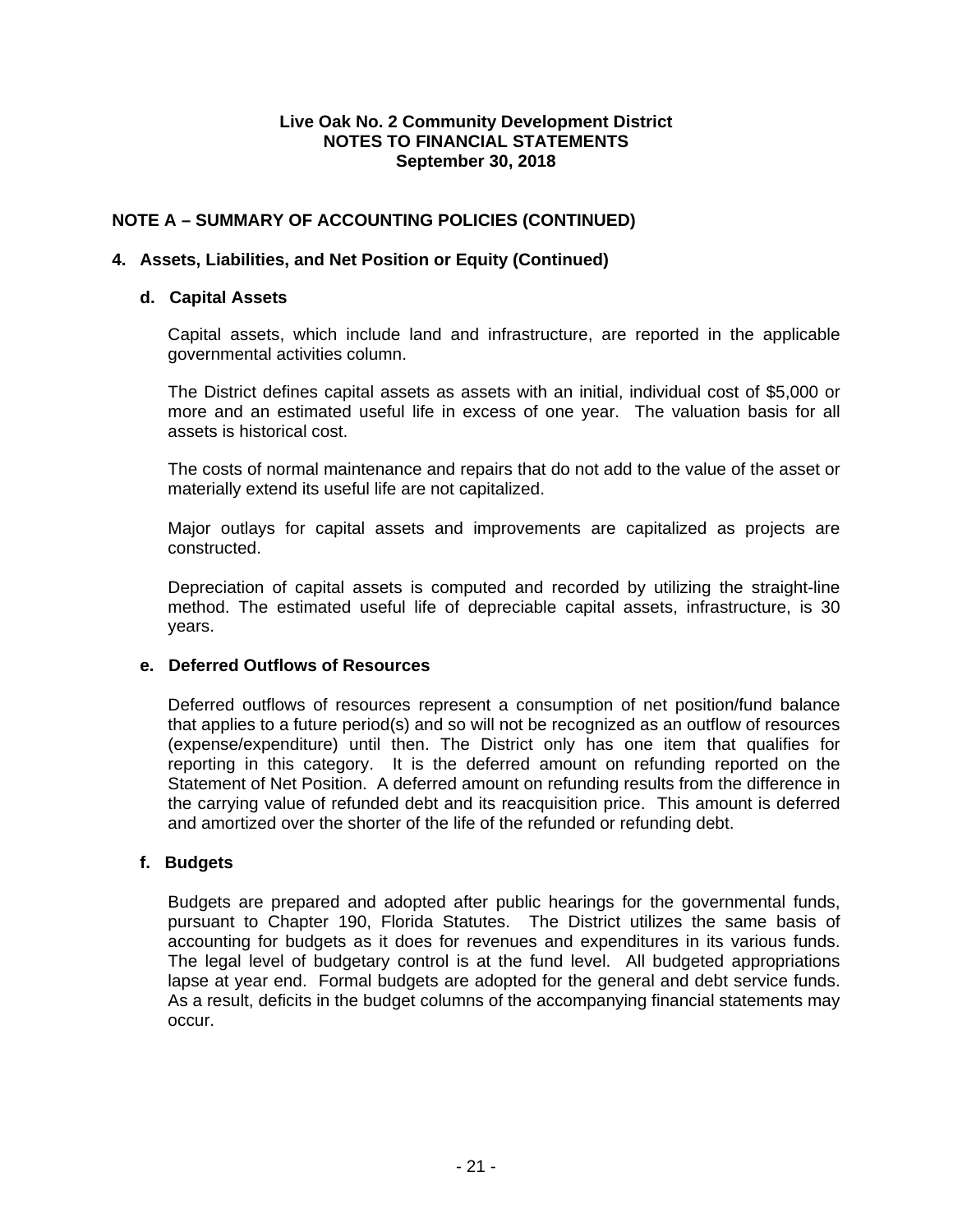## **NOTE A – SUMMARY OF ACCOUNTING POLICIES (CONTINUED)**

### **4. Assets, Liabilities, and Net Position or Equity (Continued)**

#### **d. Capital Assets**

Capital assets, which include land and infrastructure, are reported in the applicable governmental activities column.

The District defines capital assets as assets with an initial, individual cost of \$5,000 or more and an estimated useful life in excess of one year. The valuation basis for all assets is historical cost.

The costs of normal maintenance and repairs that do not add to the value of the asset or materially extend its useful life are not capitalized.

Major outlays for capital assets and improvements are capitalized as projects are constructed.

Depreciation of capital assets is computed and recorded by utilizing the straight-line method. The estimated useful life of depreciable capital assets, infrastructure, is 30 years.

#### **e. Deferred Outflows of Resources**

Deferred outflows of resources represent a consumption of net position/fund balance that applies to a future period(s) and so will not be recognized as an outflow of resources (expense/expenditure) until then. The District only has one item that qualifies for reporting in this category. It is the deferred amount on refunding reported on the Statement of Net Position. A deferred amount on refunding results from the difference in the carrying value of refunded debt and its reacquisition price. This amount is deferred and amortized over the shorter of the life of the refunded or refunding debt.

#### **f. Budgets**

Budgets are prepared and adopted after public hearings for the governmental funds, pursuant to Chapter 190, Florida Statutes. The District utilizes the same basis of accounting for budgets as it does for revenues and expenditures in its various funds. The legal level of budgetary control is at the fund level. All budgeted appropriations lapse at year end. Formal budgets are adopted for the general and debt service funds. As a result, deficits in the budget columns of the accompanying financial statements may occur.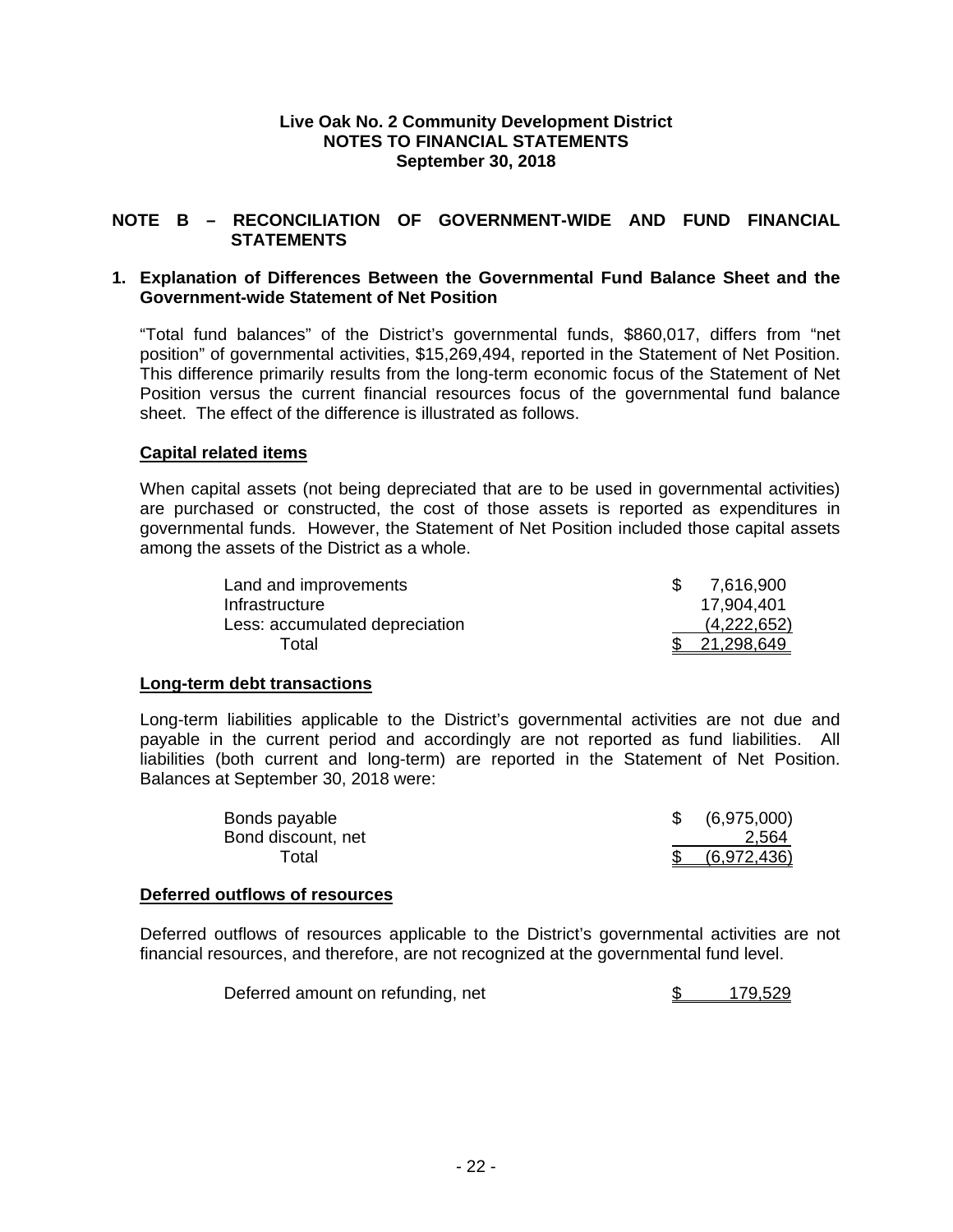### **NOTE B – RECONCILIATION OF GOVERNMENT-WIDE AND FUND FINANCIAL STATEMENTS**

#### **1. Explanation of Differences Between the Governmental Fund Balance Sheet and the Government-wide Statement of Net Position**

"Total fund balances" of the District's governmental funds, \$860,017, differs from "net position" of governmental activities, \$15,269,494, reported in the Statement of Net Position. This difference primarily results from the long-term economic focus of the Statement of Net Position versus the current financial resources focus of the governmental fund balance sheet. The effect of the difference is illustrated as follows.

### **Capital related items**

When capital assets (not being depreciated that are to be used in governmental activities) are purchased or constructed, the cost of those assets is reported as expenditures in governmental funds. However, the Statement of Net Position included those capital assets among the assets of the District as a whole.

| Land and improvements          | 7,616,900    |
|--------------------------------|--------------|
| Infrastructure                 | 17,904,401   |
| Less: accumulated depreciation | (4,222,652)  |
| Total                          | \$21,298,649 |

#### **Long-term debt transactions**

Long-term liabilities applicable to the District's governmental activities are not due and payable in the current period and accordingly are not reported as fund liabilities. All liabilities (both current and long-term) are reported in the Statement of Net Position. Balances at September 30, 2018 were:

| Bonds payable      | (6,975,000) |
|--------------------|-------------|
| Bond discount, net | 2,564       |
| Total              | (6,972,436) |

#### **Deferred outflows of resources**

Deferred outflows of resources applicable to the District's governmental activities are not financial resources, and therefore, are not recognized at the governmental fund level.

| Deferred amount on refunding, net | 179,529 |
|-----------------------------------|---------|
|                                   |         |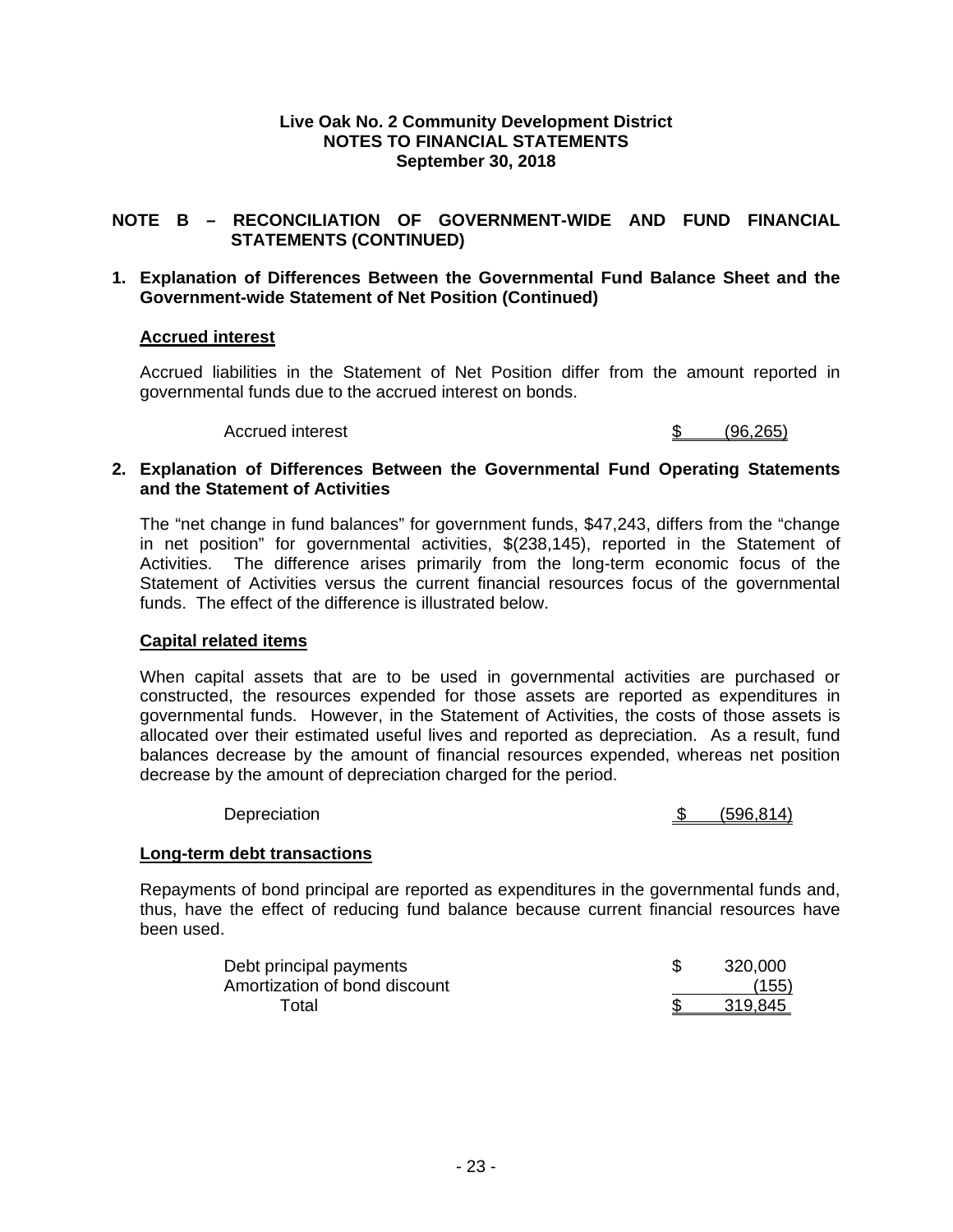### **NOTE B – RECONCILIATION OF GOVERNMENT-WIDE AND FUND FINANCIAL STATEMENTS (CONTINUED)**

### **1. Explanation of Differences Between the Governmental Fund Balance Sheet and the Government-wide Statement of Net Position (Continued)**

### **Accrued interest**

Accrued liabilities in the Statement of Net Position differ from the amount reported in governmental funds due to the accrued interest on bonds.

Accrued interest  $\qquad \qquad \qquad$  8 (96.265)

#### **2. Explanation of Differences Between the Governmental Fund Operating Statements and the Statement of Activities**

The "net change in fund balances" for government funds, \$47,243, differs from the "change in net position" for governmental activities, \$(238,145), reported in the Statement of Activities. The difference arises primarily from the long-term economic focus of the Statement of Activities versus the current financial resources focus of the governmental funds. The effect of the difference is illustrated below.

### **Capital related items**

When capital assets that are to be used in governmental activities are purchased or constructed, the resources expended for those assets are reported as expenditures in governmental funds. However, in the Statement of Activities, the costs of those assets is allocated over their estimated useful lives and reported as depreciation. As a result, fund balances decrease by the amount of financial resources expended, whereas net position decrease by the amount of depreciation charged for the period.

Depreciation 6 (596,814)

### **Long-term debt transactions**

Repayments of bond principal are reported as expenditures in the governmental funds and, thus, have the effect of reducing fund balance because current financial resources have been used.

| Debt principal payments       | 320,000 |
|-------------------------------|---------|
| Amortization of bond discount | (155)   |
| Total                         | 319,845 |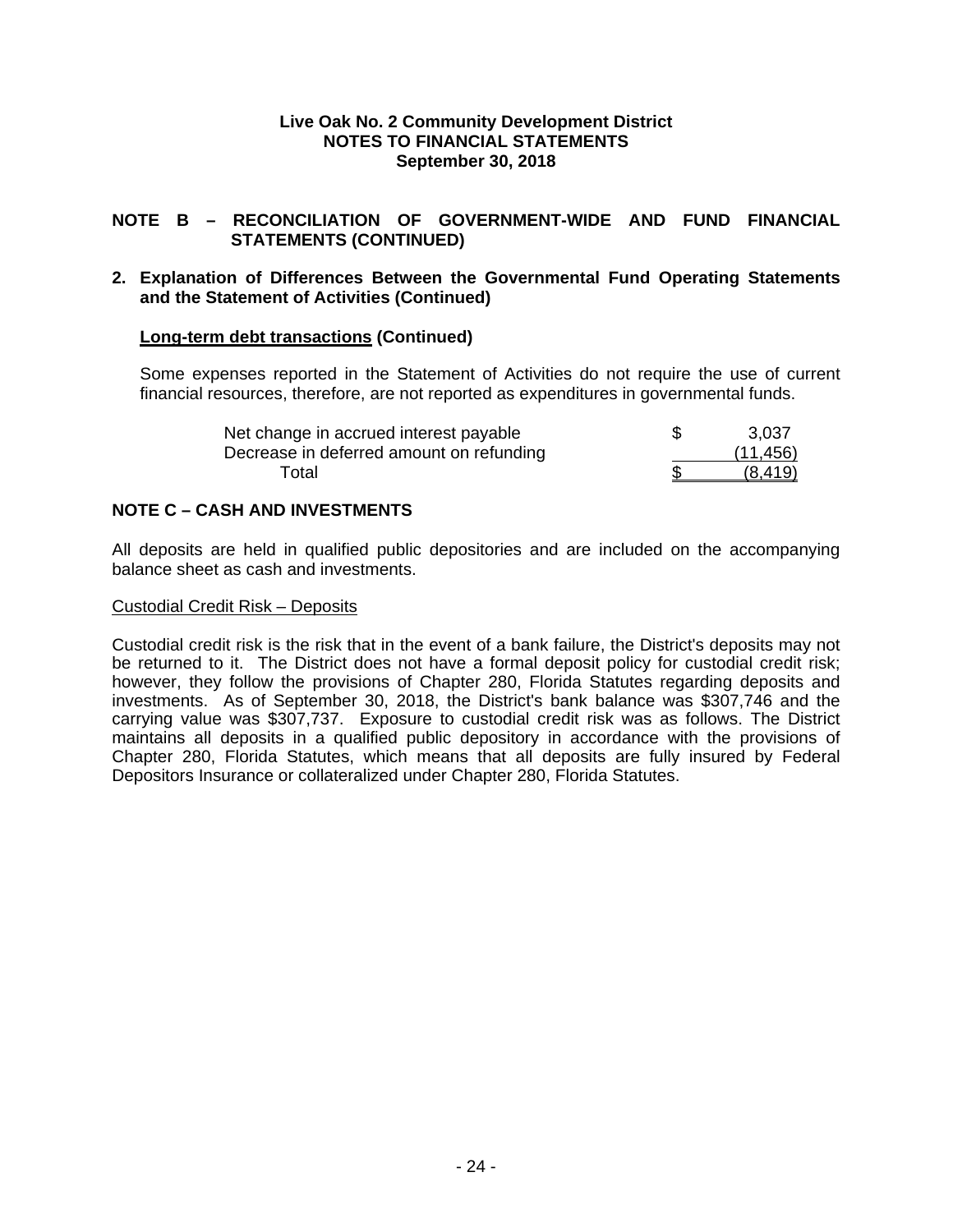### **NOTE B – RECONCILIATION OF GOVERNMENT-WIDE AND FUND FINANCIAL STATEMENTS (CONTINUED)**

### **2. Explanation of Differences Between the Governmental Fund Operating Statements and the Statement of Activities (Continued)**

### **Long-term debt transactions (Continued)**

Some expenses reported in the Statement of Activities do not require the use of current financial resources, therefore, are not reported as expenditures in governmental funds.

| Net change in accrued interest payable   | S | 3,037     |
|------------------------------------------|---|-----------|
| Decrease in deferred amount on refunding |   | (11, 456) |
| Total                                    |   | (8, 419)  |

### **NOTE C – CASH AND INVESTMENTS**

All deposits are held in qualified public depositories and are included on the accompanying balance sheet as cash and investments.

#### Custodial Credit Risk – Deposits

Custodial credit risk is the risk that in the event of a bank failure, the District's deposits may not be returned to it. The District does not have a formal deposit policy for custodial credit risk; however, they follow the provisions of Chapter 280, Florida Statutes regarding deposits and investments. As of September 30, 2018, the District's bank balance was \$307,746 and the carrying value was \$307,737. Exposure to custodial credit risk was as follows. The District maintains all deposits in a qualified public depository in accordance with the provisions of Chapter 280, Florida Statutes, which means that all deposits are fully insured by Federal Depositors Insurance or collateralized under Chapter 280, Florida Statutes.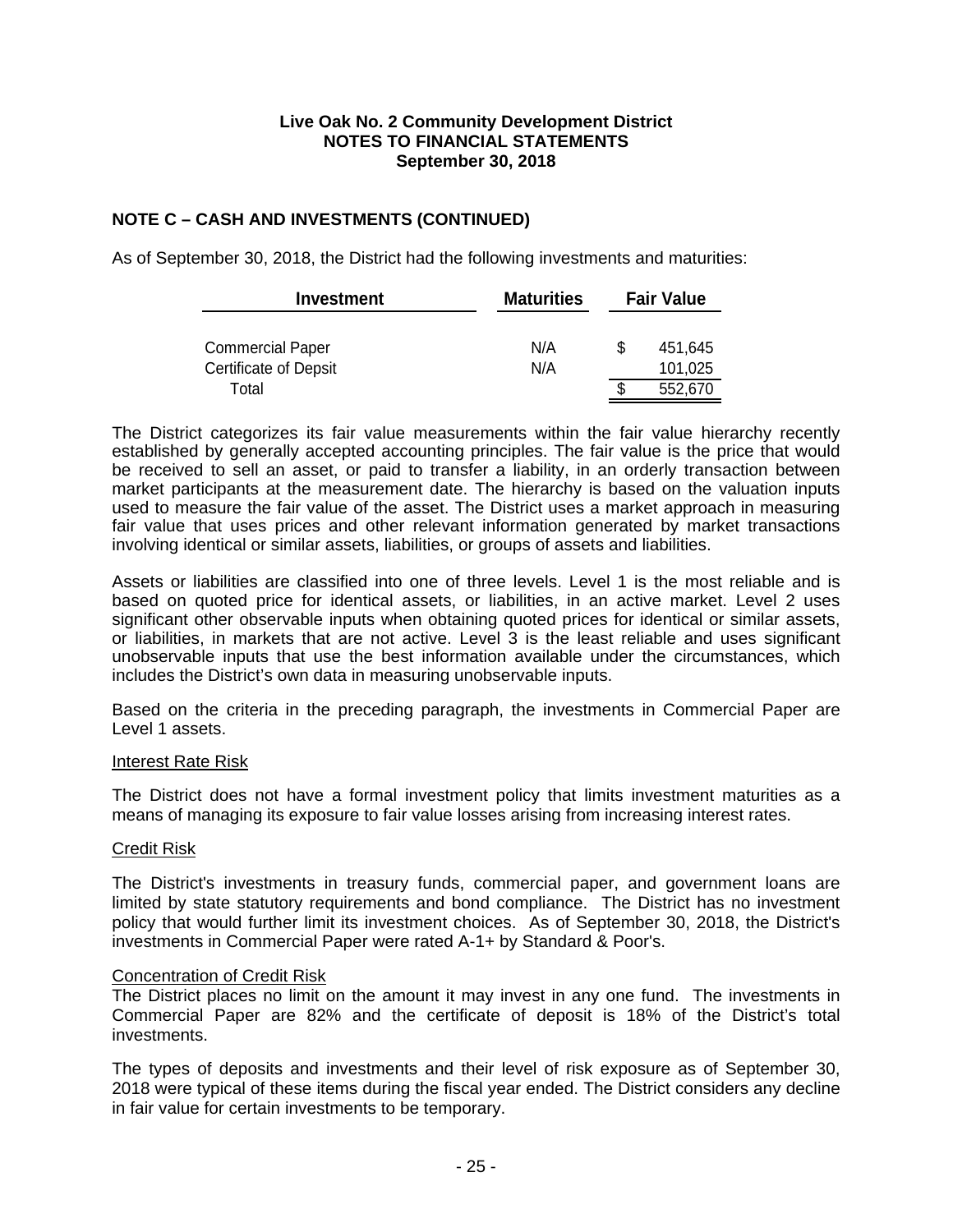### **NOTE C – CASH AND INVESTMENTS (CONTINUED)**

As of September 30, 2018, the District had the following investments and maturities:

| <b>Investment</b>            | <b>Maturities</b> | <b>Fair Value</b> |         |
|------------------------------|-------------------|-------------------|---------|
| <b>Commercial Paper</b>      | N/A               | S                 | 451.645 |
| <b>Certificate of Depsit</b> | N/A               |                   | 101,025 |
| Total                        |                   | S                 | 552,670 |

The District categorizes its fair value measurements within the fair value hierarchy recently established by generally accepted accounting principles. The fair value is the price that would be received to sell an asset, or paid to transfer a liability, in an orderly transaction between market participants at the measurement date. The hierarchy is based on the valuation inputs used to measure the fair value of the asset. The District uses a market approach in measuring fair value that uses prices and other relevant information generated by market transactions involving identical or similar assets, liabilities, or groups of assets and liabilities.

Assets or liabilities are classified into one of three levels. Level 1 is the most reliable and is based on quoted price for identical assets, or liabilities, in an active market. Level 2 uses significant other observable inputs when obtaining quoted prices for identical or similar assets, or liabilities, in markets that are not active. Level 3 is the least reliable and uses significant unobservable inputs that use the best information available under the circumstances, which includes the District's own data in measuring unobservable inputs.

Based on the criteria in the preceding paragraph, the investments in Commercial Paper are Level 1 assets.

#### Interest Rate Risk

The District does not have a formal investment policy that limits investment maturities as a means of managing its exposure to fair value losses arising from increasing interest rates.

#### Credit Risk

The District's investments in treasury funds, commercial paper, and government loans are limited by state statutory requirements and bond compliance. The District has no investment policy that would further limit its investment choices. As of September 30, 2018, the District's investments in Commercial Paper were rated A-1+ by Standard & Poor's.

## **Concentration of Credit Risk**

The District places no limit on the amount it may invest in any one fund. The investments in Commercial Paper are 82% and the certificate of deposit is 18% of the District's total investments.

The types of deposits and investments and their level of risk exposure as of September 30, 2018 were typical of these items during the fiscal year ended. The District considers any decline in fair value for certain investments to be temporary.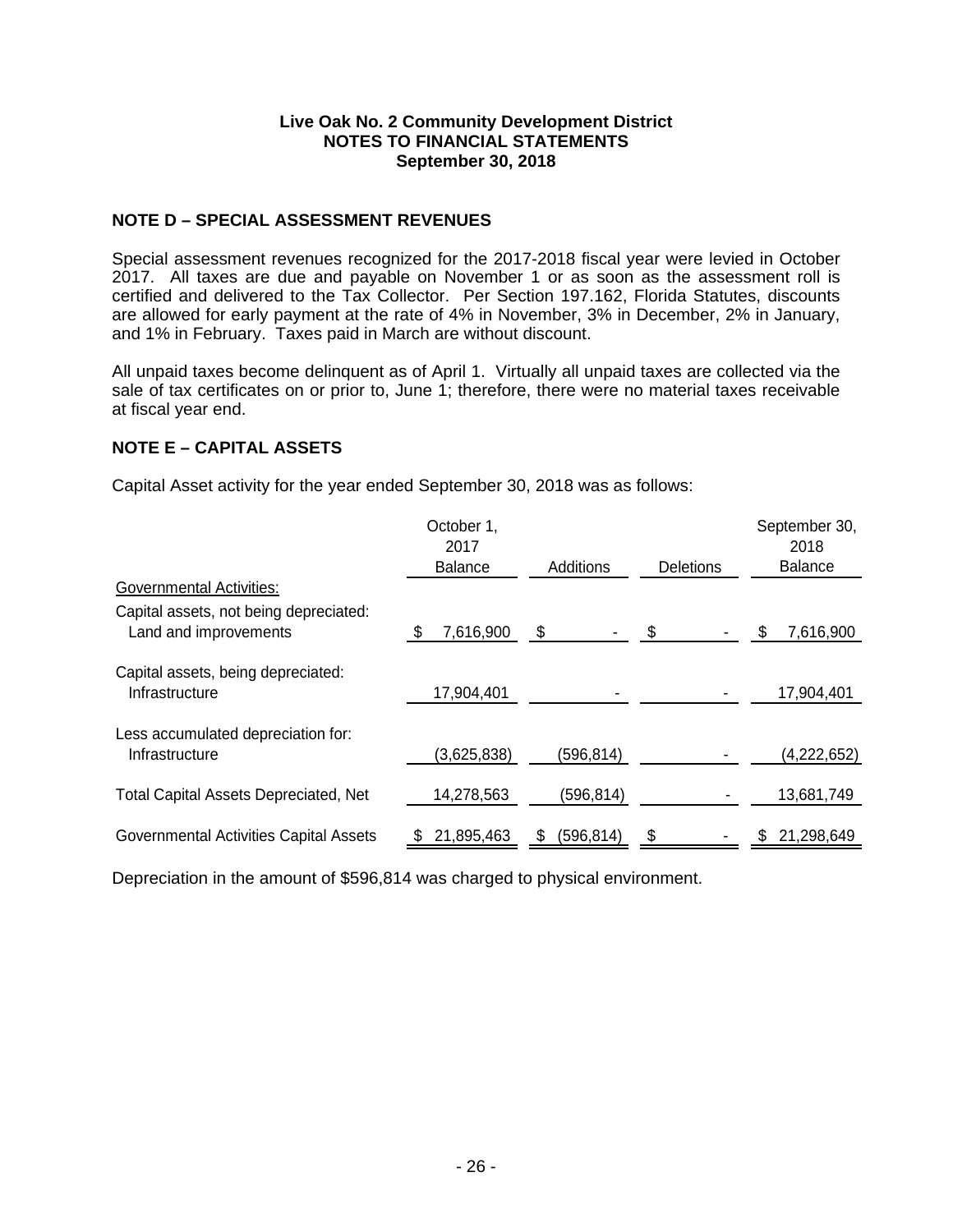### **NOTE D – SPECIAL ASSESSMENT REVENUES**

Special assessment revenues recognized for the 2017-2018 fiscal year were levied in October 2017. All taxes are due and payable on November 1 or as soon as the assessment roll is certified and delivered to the Tax Collector. Per Section 197.162, Florida Statutes, discounts are allowed for early payment at the rate of 4% in November, 3% in December, 2% in January, and 1% in February. Taxes paid in March are without discount.

All unpaid taxes become delinquent as of April 1. Virtually all unpaid taxes are collected via the sale of tax certificates on or prior to, June 1; therefore, there were no material taxes receivable at fiscal year end.

### **NOTE E – CAPITAL ASSETS**

Capital Asset activity for the year ended September 30, 2018 was as follows:

|                                                                 | October 1,<br>2017 |                 |           | September 30,<br>2018 |
|-----------------------------------------------------------------|--------------------|-----------------|-----------|-----------------------|
|                                                                 | <b>Balance</b>     | Additions       | Deletions | <b>Balance</b>        |
| <b>Governmental Activities:</b>                                 |                    |                 |           |                       |
| Capital assets, not being depreciated:<br>Land and improvements | 7,616,900          | \$              | \$        | 7,616,900<br>\$       |
| Capital assets, being depreciated:<br>Infrastructure            | 17,904,401         |                 |           | 17,904,401            |
| Less accumulated depreciation for:<br>Infrastructure            | (3,625,838)        | (596,814)       |           | (4, 222, 652)         |
| <b>Total Capital Assets Depreciated, Net</b>                    | 14,278,563         | (596, 814)      |           | 13,681,749            |
| Governmental Activities Capital Assets                          | 21,895,463         | (596, 814)<br>S |           | 21,298,649<br>\$      |

Depreciation in the amount of \$596,814 was charged to physical environment.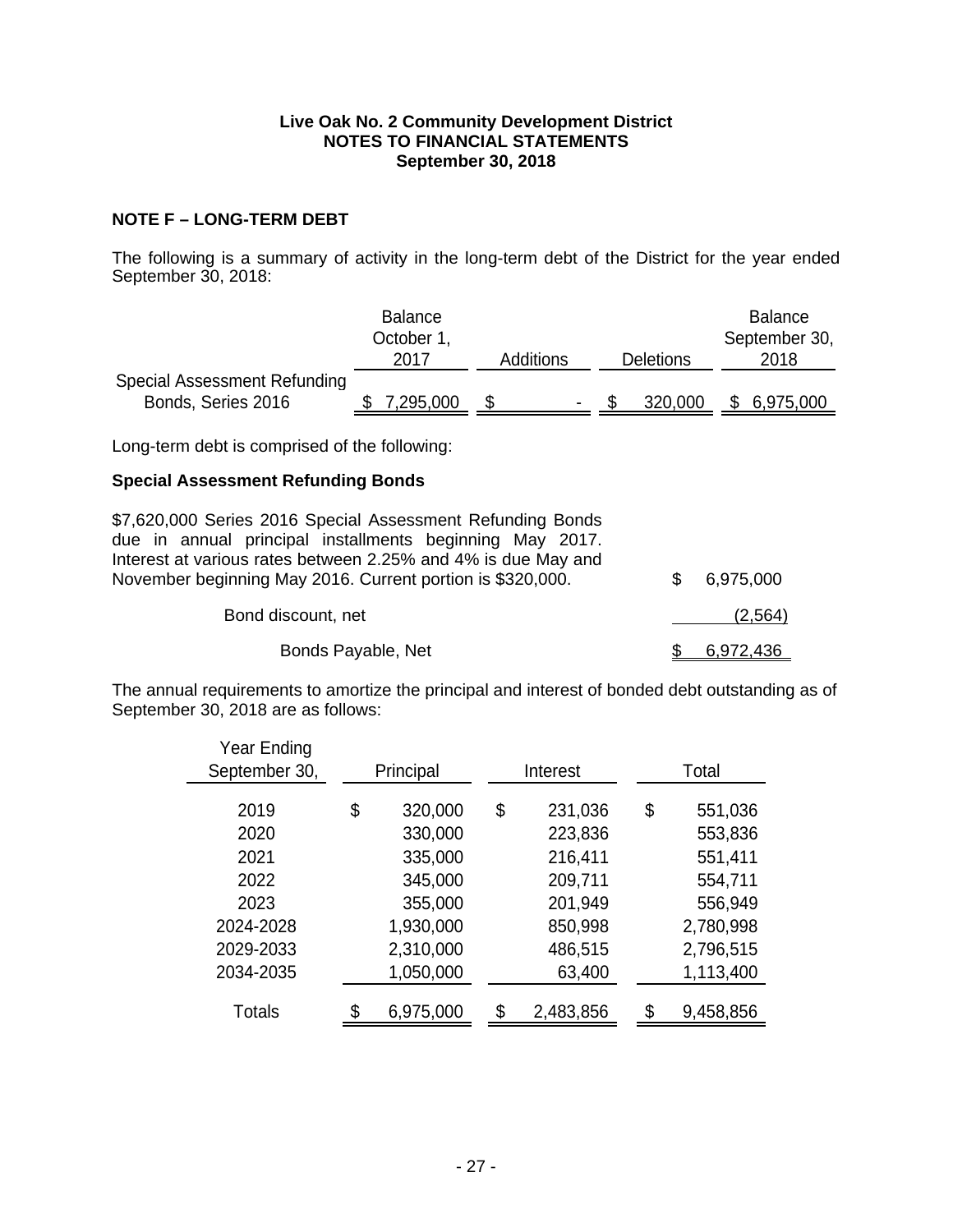### **NOTE F – LONG-TERM DEBT**

The following is a summary of activity in the long-term debt of the District for the year ended September 30, 2018:

|                              | <b>Balance</b> |                  |  |                  | <b>Balance</b> |
|------------------------------|----------------|------------------|--|------------------|----------------|
|                              | October 1,     |                  |  |                  | September 30,  |
|                              | 2017           | <b>Additions</b> |  | <b>Deletions</b> | 2018           |
| Special Assessment Refunding |                |                  |  |                  |                |
| Bonds, Series 2016           | ,295,000       |                  |  | 320,000          | 6,975,000      |

Long-term debt is comprised of the following:

## **Special Assessment Refunding Bonds**

| \$7,620,000 Series 2016 Special Assessment Refunding Bonds<br>due in annual principal installments beginning May 2017.<br>Interest at various rates between 2.25% and 4% is due May and<br>November beginning May 2016. Current portion is \$320,000. | \$. | 6,975,000 |
|-------------------------------------------------------------------------------------------------------------------------------------------------------------------------------------------------------------------------------------------------------|-----|-----------|
| Bond discount, net                                                                                                                                                                                                                                    |     | (2,564)   |
| Bonds Payable, Net                                                                                                                                                                                                                                    |     | 6,972,436 |

The annual requirements to amortize the principal and interest of bonded debt outstanding as of September 30, 2018 are as follows:

| Year Ending   |    |           |                 |    |           |
|---------------|----|-----------|-----------------|----|-----------|
| September 30, |    | Principal | Interest        |    | Total     |
|               |    |           |                 |    |           |
| 2019          | \$ | 320,000   | \$<br>231,036   | \$ | 551,036   |
| 2020          |    | 330,000   | 223,836         |    | 553,836   |
| 2021          |    | 335,000   | 216,411         |    | 551,411   |
| 2022          |    | 345,000   | 209,711         |    | 554,711   |
| 2023          |    | 355,000   | 201,949         |    | 556,949   |
| 2024-2028     |    | 1,930,000 | 850,998         |    | 2,780,998 |
| 2029-2033     |    | 2,310,000 | 486,515         |    | 2,796,515 |
| 2034-2035     |    | 1,050,000 | 63,400          |    | 1,113,400 |
|               | c  |           |                 |    |           |
| <b>Totals</b> |    | 6,975,000 | \$<br>2,483,856 | \$ | 9,458,856 |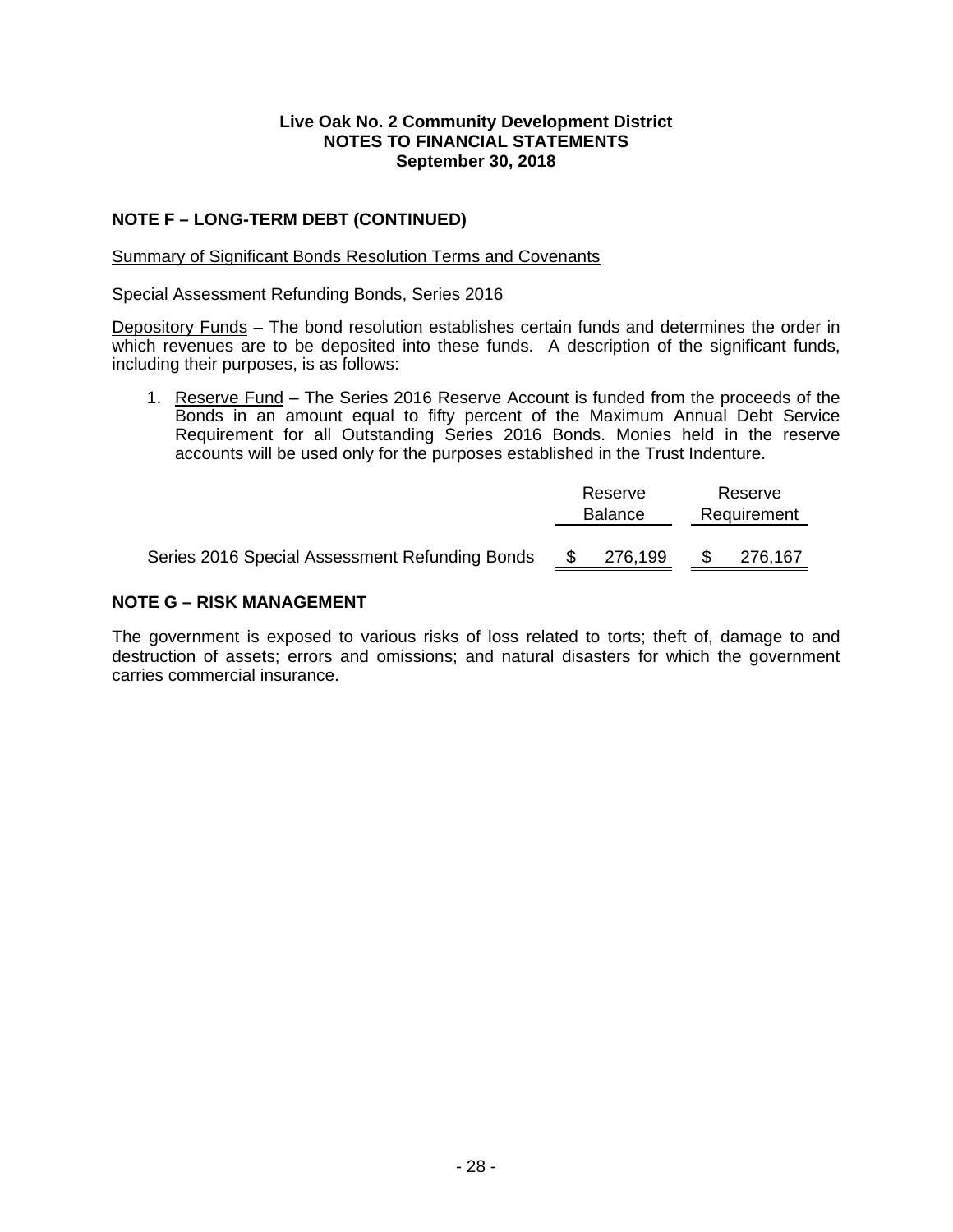### **NOTE F – LONG-TERM DEBT (CONTINUED)**

### Summary of Significant Bonds Resolution Terms and Covenants

Special Assessment Refunding Bonds, Series 2016

Depository Funds – The bond resolution establishes certain funds and determines the order in which revenues are to be deposited into these funds. A description of the significant funds, including their purposes, is as follows:

1. Reserve Fund – The Series 2016 Reserve Account is funded from the proceeds of the Bonds in an amount equal to fifty percent of the Maximum Annual Debt Service Requirement for all Outstanding Series 2016 Bonds. Monies held in the reserve accounts will be used only for the purposes established in the Trust Indenture.

|                                                | Reserve        |             | Reserve |  |  |
|------------------------------------------------|----------------|-------------|---------|--|--|
|                                                | <b>Balance</b> | Requirement |         |  |  |
|                                                |                |             |         |  |  |
| Series 2016 Special Assessment Refunding Bonds | 276,199        |             | 276,167 |  |  |

### **NOTE G – RISK MANAGEMENT**

The government is exposed to various risks of loss related to torts; theft of, damage to and destruction of assets; errors and omissions; and natural disasters for which the government carries commercial insurance.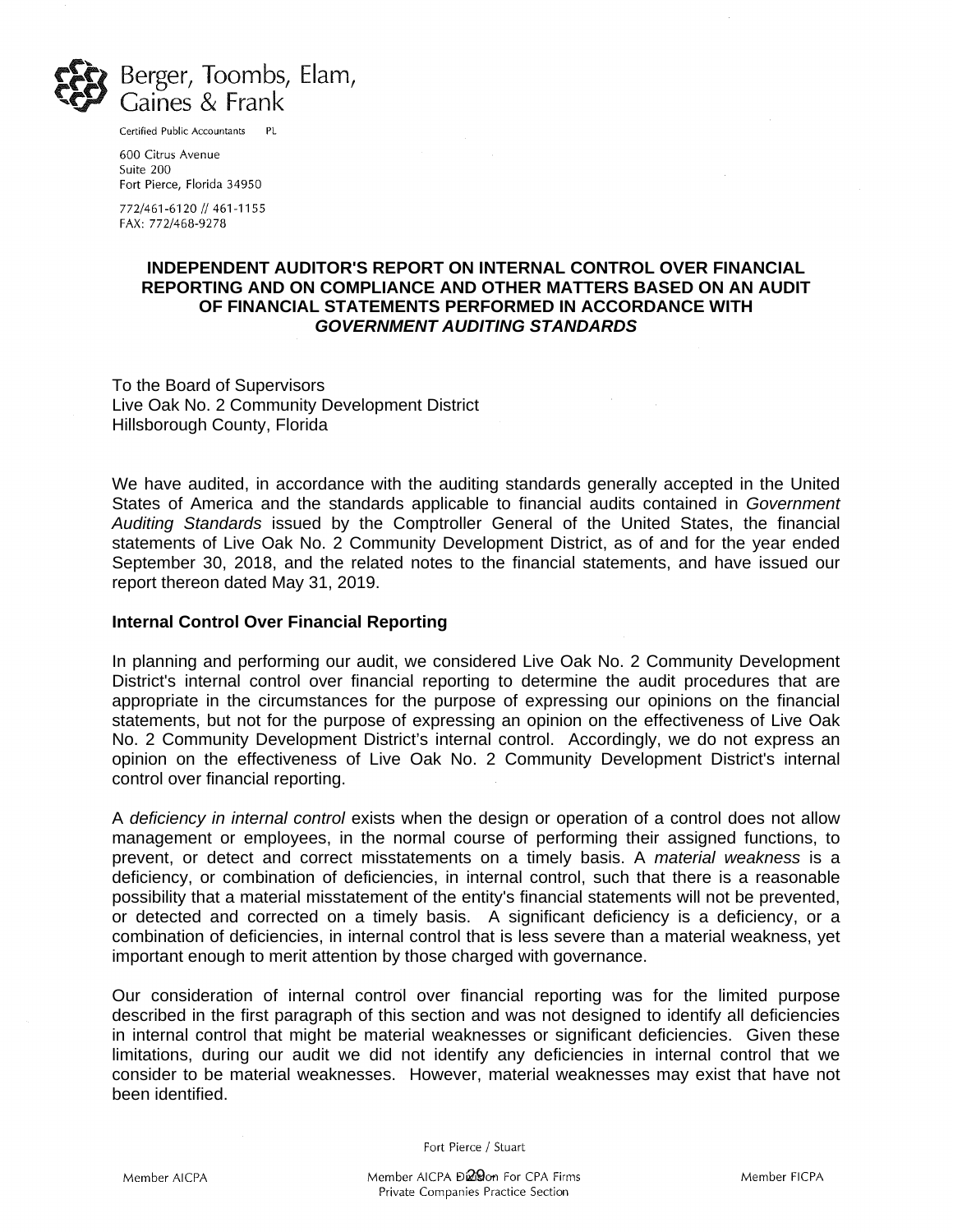

Certified Public Accountants PL

600 Citrus Avenue Suite 200 Fort Pierce, Florida 34950

772/461-6120 // 461-1155 FAX: 772/468-9278

#### **REPORTING AND ON COMPLIANCE AND OTHER MATTERS BASED ON AN AUDIT INDEPENDENT AUDITOR'S REPORT ON INTERNAL CONTROL OVER FINANCIAL OF FINANCIAL STATEMENTS PERFORMED IN ACCORDANCE WITH**  *GOVERNMENT AUDITING STANDARDS*

To the Board of Supervisors Live Oak No. 2 Community Development District Hillsborough County, Florida

We have audited, in accordance with the auditing standards generally accepted in the United States of America and the standards applicable to financial audits contained in *Government Auditing Standards* issued by the Comptroller General of the United States, the financial statements of Live Oak No. 2 Community Development District, as of and for the year ended September 30, 2018, and the related notes to the financial statements, and have issued our report thereon dated May 31, 2019.

#### **Internal Control Over Financial Reporting**

In planning and performing our audit, we considered Live Oak No. 2 Community Development District's internal control over financial reporting to determine the audit procedures that are appropriate in the circumstances for the purpose of expressing our opinions on the financial statements, but not for the purpose of expressing an opinion on the effectiveness of Live Oak No. 2 Community Development District's internal control. Accordingly, we do not express an opinion on the effectiveness of Live Oak No. 2 Community Development District's internal control over financial reporting.

A *deficiency in internal control* exists when the design or operation of a control does not allow management or employees, in the normal course of performing their assigned functions, to prevent, or detect and correct misstatements on a timely basis. A *material weakness* is a deficiency, or combination of deficiencies, in internal control, such that there is a reasonable possibility that a material misstatement of the entity's financial statements will not be prevented, or detected and corrected on a timely basis. A significant deficiency is a deficiency, or a combination of deficiencies, in internal control that is less severe than a material weakness, yet important enough to merit attention by those charged with governance.

Our consideration of internal control over financial reporting was for the limited purpose described in the first paragraph of this section and was not designed to identify all deficiencies in internal control that might be material weaknesses or significant deficiencies. Given these limitations, during our audit we did not identify any deficiencies in internal control that we consider to be material weaknesses. However, material weaknesses may exist that have not been identified.

Fort Pierce / Stuart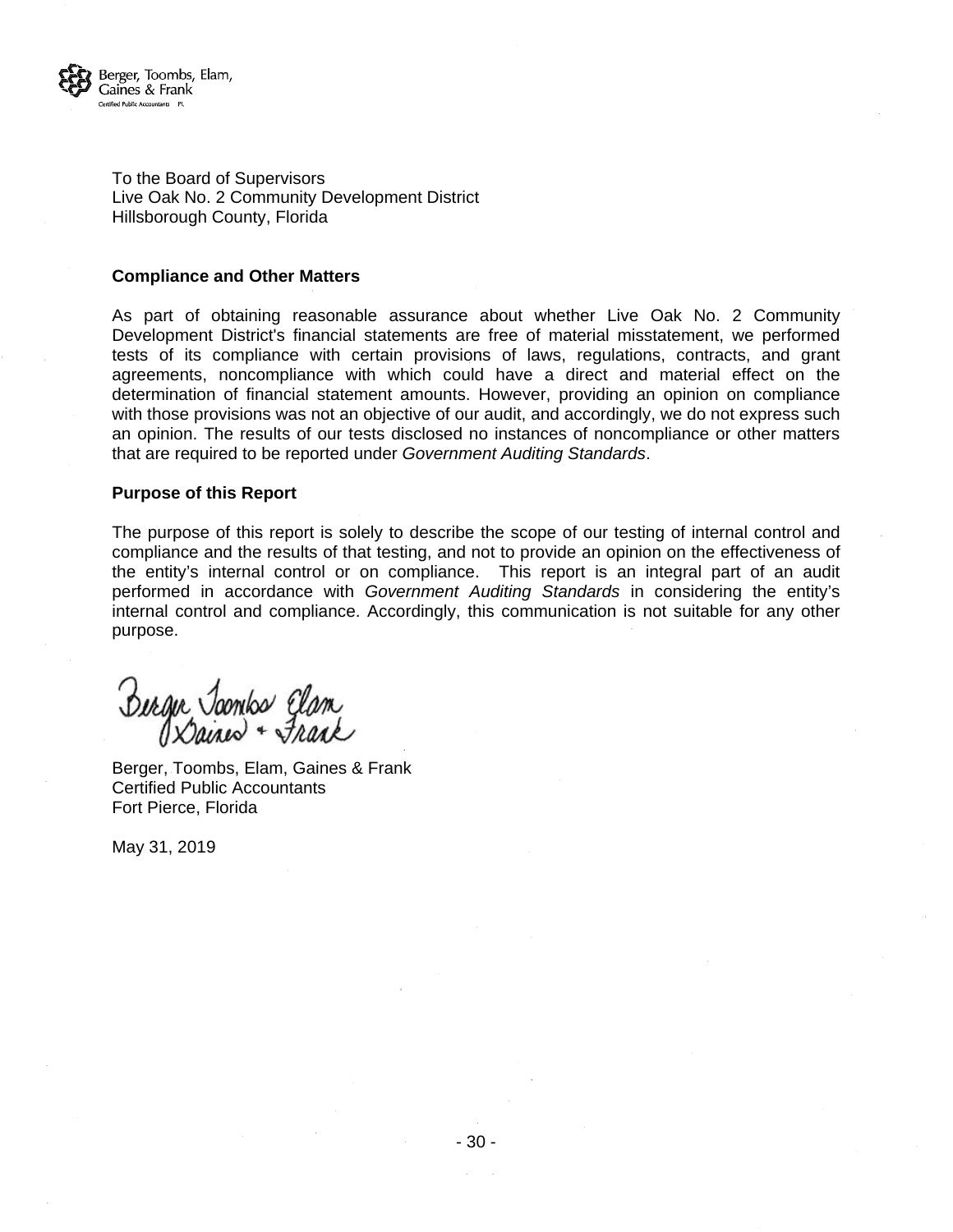

To the Board of Supervisors Live Oak No. 2 Community Development District Hillsborough County, Florida

#### **Compliance and Other Matters**

As part of obtaining reasonable assurance about whether Live Oak No. 2 Community Development District's financial statements are free of material misstatement, we performed tests of its compliance with certain provisions of laws, regulations, contracts, and grant agreements, noncompliance with which could have a direct and material effect on the determination of financial statement amounts. However, providing an opinion on compliance with those provisions was not an objective of our audit, and accordingly, we do not express such an opinion. The results of our tests disclosed no instances of noncompliance or other matters that are required to be reported under *Government Auditing Standards*.

#### **Purpose of this Report**

The purpose of this report is solely to describe the scope of our testing of internal control and compliance and the results of that testing, and not to provide an opinion on the effectiveness of the entity's internal control or on compliance. This report is an integral part of an audit performed in accordance with *Government Auditing Standards* in considering the entity's internal control and compliance. Accordingly, this communication is not suitable for any other purpose.

Bergin Jamba Elam

Berger, Toombs, Elam, Gaines & Frank Certified Public Accountants Fort Pierce, Florida

May 31, 2019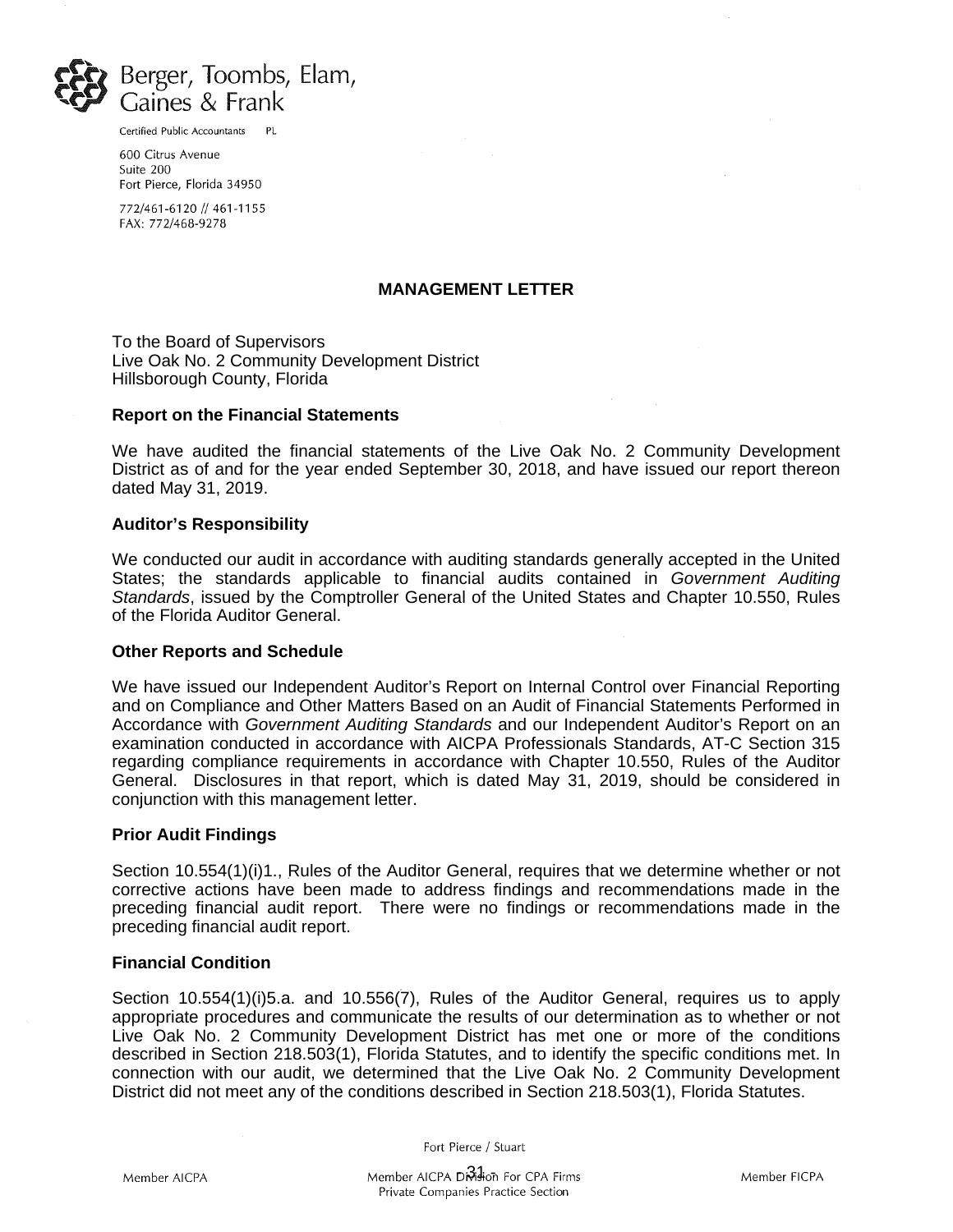

Certified Public Accountants PL

600 Citrus Avenue Suite 200 Fort Pierce, Florida 34950

772/461-6120 // 461-1155 FAX: 772/468-9278

#### **MANAGEMENT LETTER**

To the Board of Supervisors Live Oak No. 2 Community Development District Hillsborough County, Florida

#### **Report on the Financial Statements**

We have audited the financial statements of the Live Oak No. 2 Community Development District as of and for the year ended September 30, 2018, and have issued our report thereon dated May 31, 2019.

#### **Auditor's Responsibility**

We conducted our audit in accordance with auditing standards generally accepted in the United States; the standards applicable to financial audits contained in *Government Auditing Standards*, issued by the Comptroller General of the United States and Chapter 10.550, Rules of the Florida Auditor General.

#### **Other Reports and Schedule**

We have issued our Independent Auditor's Report on Internal Control over Financial Reporting and on Compliance and Other Matters Based on an Audit of Financial Statements Performed in Accordance with *Government Auditing Standards* and our Independent Auditor's Report on an examination conducted in accordance with AICPA Professionals Standards, AT-C Section 315 regarding compliance requirements in accordance with Chapter 10.550, Rules of the Auditor General. Disclosures in that report, which is dated May 31, 2019, should be considered in conjunction with this management letter.

#### **Prior Audit Findings**

Section 10.554(1)(i)1., Rules of the Auditor General, requires that we determine whether or not corrective actions have been made to address findings and recommendations made in the preceding financial audit report. There were no findings or recommendations made in the preceding financial audit report.

#### **Financial Condition**

Section 10.554(1)(i)5.a. and 10.556(7), Rules of the Auditor General, requires us to apply appropriate procedures and communicate the results of our determination as to whether or not Live Oak No. 2 Community Development District has met one or more of the conditions described in Section 218.503(1), Florida Statutes, and to identify the specific conditions met. In connection with our audit, we determined that the Live Oak No. 2 Community Development District did not meet any of the conditions described in Section 218.503(1), Florida Statutes.

Fort Pierce / Stuart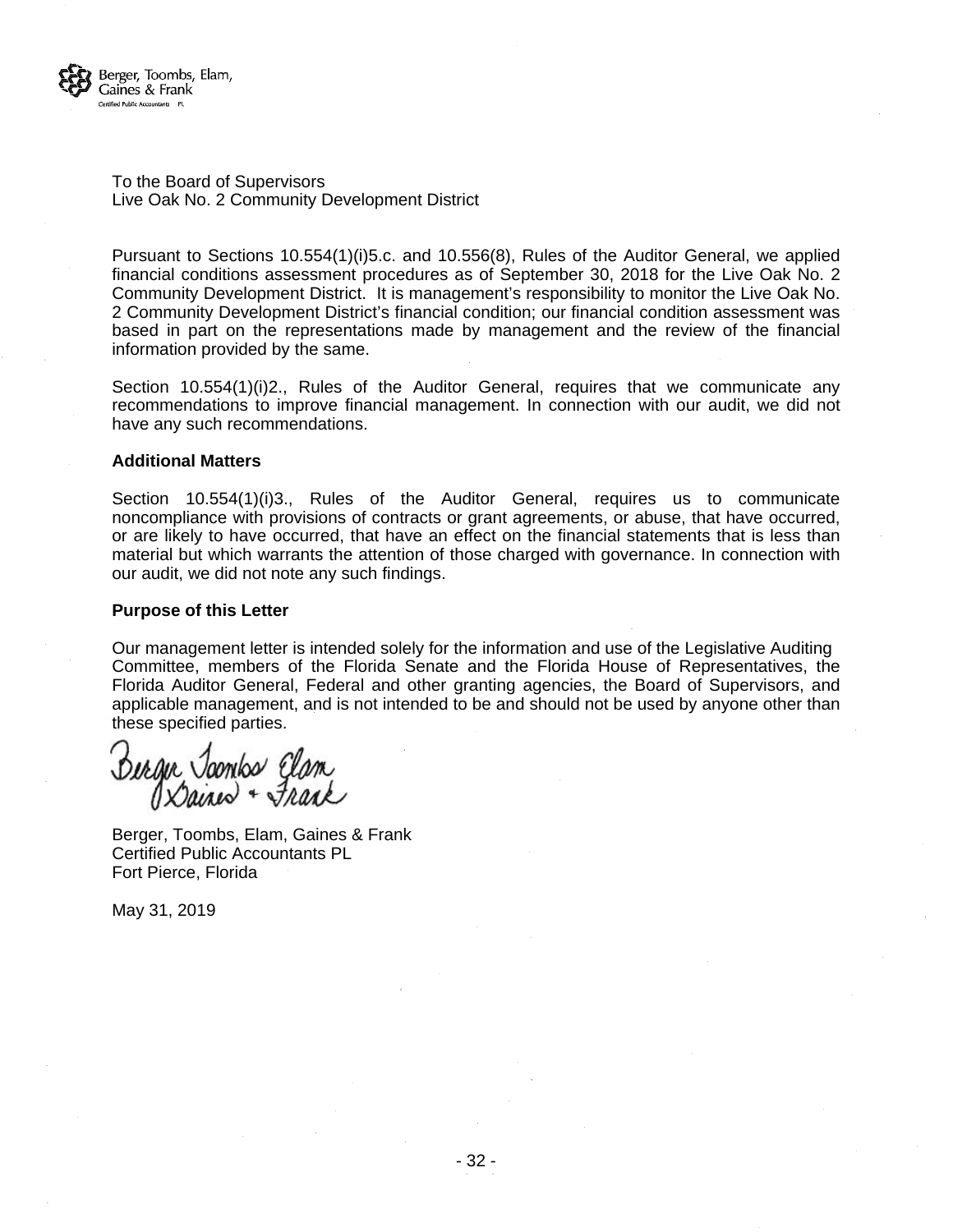

To the Board of Supervisors Live Oak No. 2 Community Development District

Pursuant to Sections 10.554(1)(i)5.c. and 10.556(8), Rules of the Auditor General, we applied financial conditions assessment procedures as of September 30, 2018 for the Live Oak No. 2 Community Development District. It is management's responsibility to monitor the Live Oak No. 2 Community Development District's financial condition; our financial condition assessment was based in part on the representations made by management and the review of the financial information provided by the same.

Section 10.554(1)(i)2., Rules of the Auditor General, requires that we communicate any recommendations to improve financial management. In connection with our audit, we did not have any such recommendations.

#### **Additional Matters**

Section 10.554(1)(i)3., Rules of the Auditor General, requires us to communicate noncompliance with provisions of contracts or grant agreements, or abuse, that have occurred, or are likely to have occurred, that have an effect on the financial statements that is less than material but which warrants the attention of those charged with governance. In connection with our audit, we did not note any such findings.

#### **Purpose of this Letter**

Our management letter is intended solely for the information and use of the Legislative Auditing Committee, members of the Florida Senate and the Florida House of Representatives, the Florida Auditor General, Federal and other granting agencies, the Board of Supervisors, and applicable management, and is not intended to be and should not be used by anyone other than these specified parties.

Bergin Joonks Elam

Berger, Toombs, Elam, Gaines & Frank Certified Public Accountants PL Fort Pierce, Florida

May 31, 2019